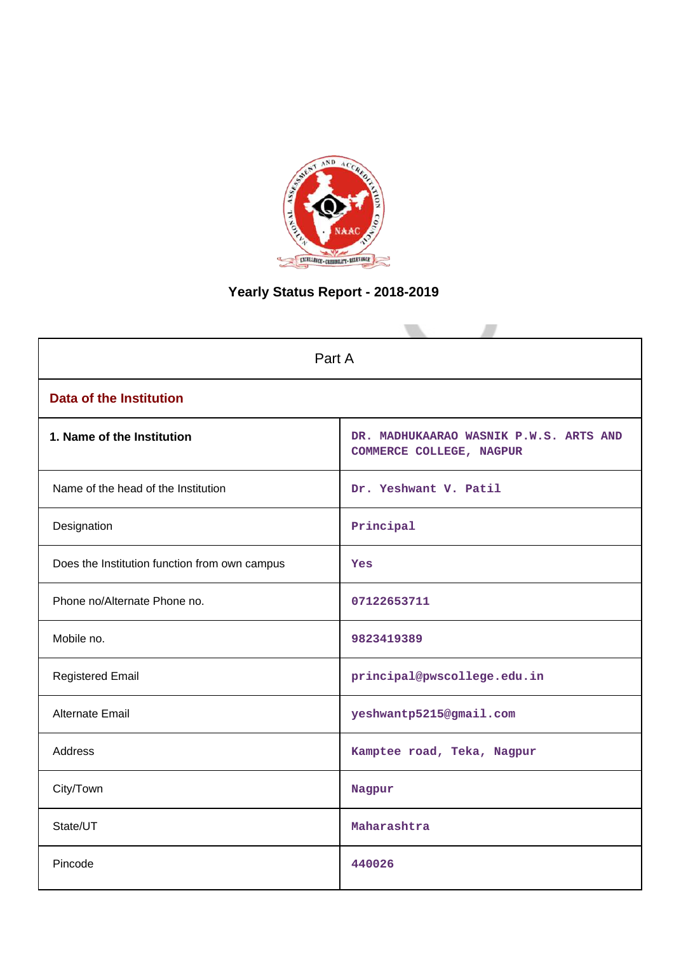

# **Yearly Status Report - 2018-2019**

| Part A                                        |                                                                    |  |  |  |
|-----------------------------------------------|--------------------------------------------------------------------|--|--|--|
| <b>Data of the Institution</b>                |                                                                    |  |  |  |
| 1. Name of the Institution                    | DR. MADHUKAARAO WASNIK P.W.S. ARTS AND<br>COMMERCE COLLEGE, NAGPUR |  |  |  |
| Name of the head of the Institution           | Dr. Yeshwant V. Patil                                              |  |  |  |
| Designation                                   | Principal                                                          |  |  |  |
| Does the Institution function from own campus | Yes                                                                |  |  |  |
| Phone no/Alternate Phone no.                  | 07122653711                                                        |  |  |  |
| Mobile no.                                    | 9823419389                                                         |  |  |  |
| <b>Registered Email</b>                       | principal@pwscollege.edu.in                                        |  |  |  |
| Alternate Email                               | yeshwantp5215@gmail.com                                            |  |  |  |
| <b>Address</b>                                | Kamptee road, Teka, Nagpur                                         |  |  |  |
| City/Town                                     | Nagpur                                                             |  |  |  |
| State/UT                                      | Maharashtra                                                        |  |  |  |
| Pincode                                       | 440026                                                             |  |  |  |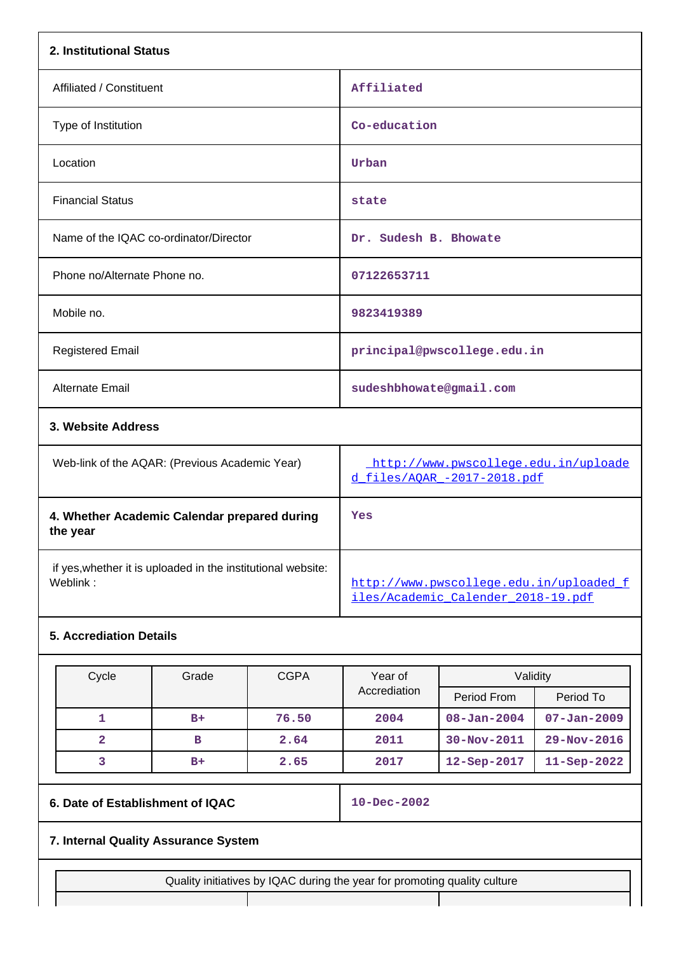| 2. Institutional Status                                                  |                                                                               |
|--------------------------------------------------------------------------|-------------------------------------------------------------------------------|
| Affiliated / Constituent                                                 | Affiliated                                                                    |
| Type of Institution                                                      | Co-education                                                                  |
| Location                                                                 | Urban                                                                         |
| <b>Financial Status</b>                                                  | state                                                                         |
| Name of the IQAC co-ordinator/Director                                   | Dr. Sudesh B. Bhowate                                                         |
| Phone no/Alternate Phone no.                                             | 07122653711                                                                   |
| Mobile no.                                                               | 9823419389                                                                    |
| <b>Registered Email</b>                                                  | principal@pwscollege.edu.in                                                   |
| Alternate Email                                                          | sudeshbhowate@gmail.com                                                       |
| 3. Website Address                                                       |                                                                               |
| Web-link of the AQAR: (Previous Academic Year)                           | http://www.pwscollege.edu.in/uploade<br>d files/AOAR -2017-2018.pdf           |
| 4. Whether Academic Calendar prepared during<br>the year                 | Yes                                                                           |
| if yes, whether it is uploaded in the institutional website:<br>Weblink: | http://www.pwscollege.edu.in/uploaded f<br>iles/Academic Calender 2018-19.pdf |

# **5. Accrediation Details**

| Cycle        | Grade | <b>CGPA</b> | Year of      |                    | Validity           |  |
|--------------|-------|-------------|--------------|--------------------|--------------------|--|
|              |       |             | Accrediation | Period From        | Period To          |  |
|              | $B+$  | 76.50       | 2004         | $08 - Jan - 2004$  | $07 - Jan - 2009$  |  |
| $\mathbf{2}$ | в     | 2.64        | 2011         | $30 - Nov - 2011$  | $29 - Nov - 2016$  |  |
|              | $B+$  | 2.65        | 2017         | $12 -$ Sep $-2017$ | $11 -$ Sep $-2022$ |  |

# **6. Date of Establishment of IQAC 10-Dec-2002**

# **7. Internal Quality Assurance System**

Quality initiatives by IQAC during the year for promoting quality culture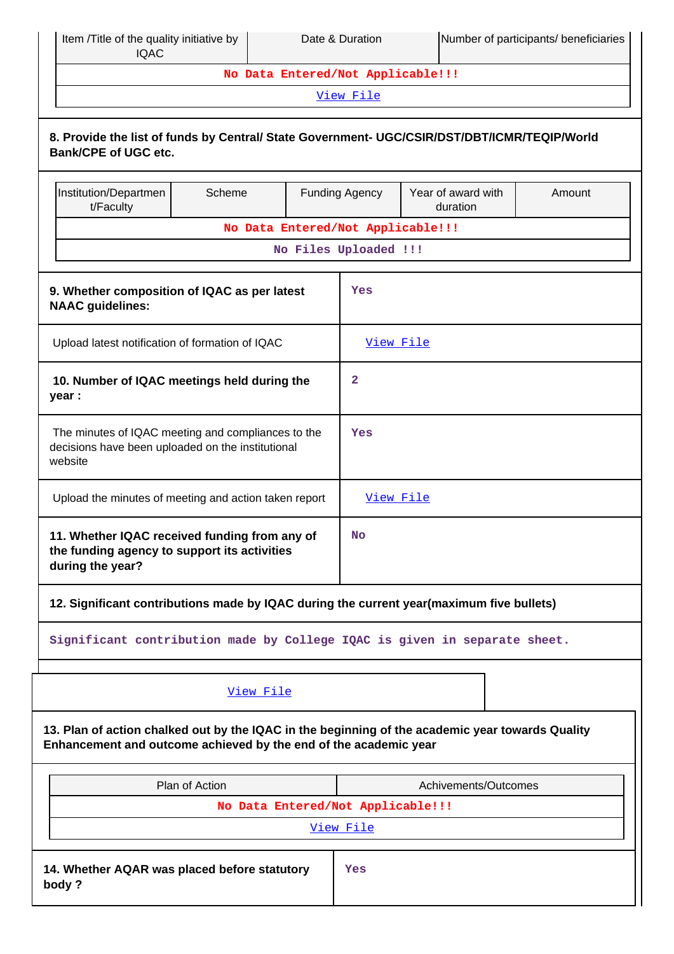| Item /Title of the quality initiative by<br><b>IQAC</b>                                                                                                              |                |                                   | Date & Duration       |                                | Number of participants/ beneficiaries |  |  |
|----------------------------------------------------------------------------------------------------------------------------------------------------------------------|----------------|-----------------------------------|-----------------------|--------------------------------|---------------------------------------|--|--|
|                                                                                                                                                                      |                | No Data Entered/Not Applicable!!! |                       |                                |                                       |  |  |
|                                                                                                                                                                      |                |                                   | View File             |                                |                                       |  |  |
| 8. Provide the list of funds by Central/ State Government- UGC/CSIR/DST/DBT/ICMR/TEQIP/World<br><b>Bank/CPE of UGC etc.</b>                                          |                |                                   |                       |                                |                                       |  |  |
| Institution/Departmen<br>t/Faculty                                                                                                                                   | Scheme         |                                   | <b>Funding Agency</b> | Year of award with<br>duration | Amount                                |  |  |
|                                                                                                                                                                      |                | No Data Entered/Not Applicable!!! |                       |                                |                                       |  |  |
|                                                                                                                                                                      |                | No Files Uploaded !!!             |                       |                                |                                       |  |  |
| 9. Whether composition of IQAC as per latest<br><b>NAAC</b> guidelines:                                                                                              |                |                                   | Yes                   |                                |                                       |  |  |
| Upload latest notification of formation of IQAC                                                                                                                      |                |                                   | View File             |                                |                                       |  |  |
| 10. Number of IQAC meetings held during the<br>year :                                                                                                                |                |                                   | $\mathbf{2}$          |                                |                                       |  |  |
| The minutes of IQAC meeting and compliances to the<br>decisions have been uploaded on the institutional<br>website                                                   |                |                                   | Yes                   |                                |                                       |  |  |
| Upload the minutes of meeting and action taken report                                                                                                                |                |                                   | View File             |                                |                                       |  |  |
| 11. Whether IQAC received funding from any of<br>the funding agency to support its activities<br>during the year?                                                    |                |                                   | No                    |                                |                                       |  |  |
| 12. Significant contributions made by IQAC during the current year(maximum five bullets)                                                                             |                |                                   |                       |                                |                                       |  |  |
| Significant contribution made by College IQAC is given in separate sheet.                                                                                            |                |                                   |                       |                                |                                       |  |  |
|                                                                                                                                                                      | View File      |                                   |                       |                                |                                       |  |  |
| 13. Plan of action chalked out by the IQAC in the beginning of the academic year towards Quality<br>Enhancement and outcome achieved by the end of the academic year |                |                                   |                       |                                |                                       |  |  |
|                                                                                                                                                                      | Plan of Action |                                   |                       | Achivements/Outcomes           |                                       |  |  |
|                                                                                                                                                                      |                | No Data Entered/Not Applicable!!! |                       |                                |                                       |  |  |
|                                                                                                                                                                      |                |                                   | View File             |                                |                                       |  |  |
| 14. Whether AQAR was placed before statutory<br>body?                                                                                                                |                |                                   | Yes                   |                                |                                       |  |  |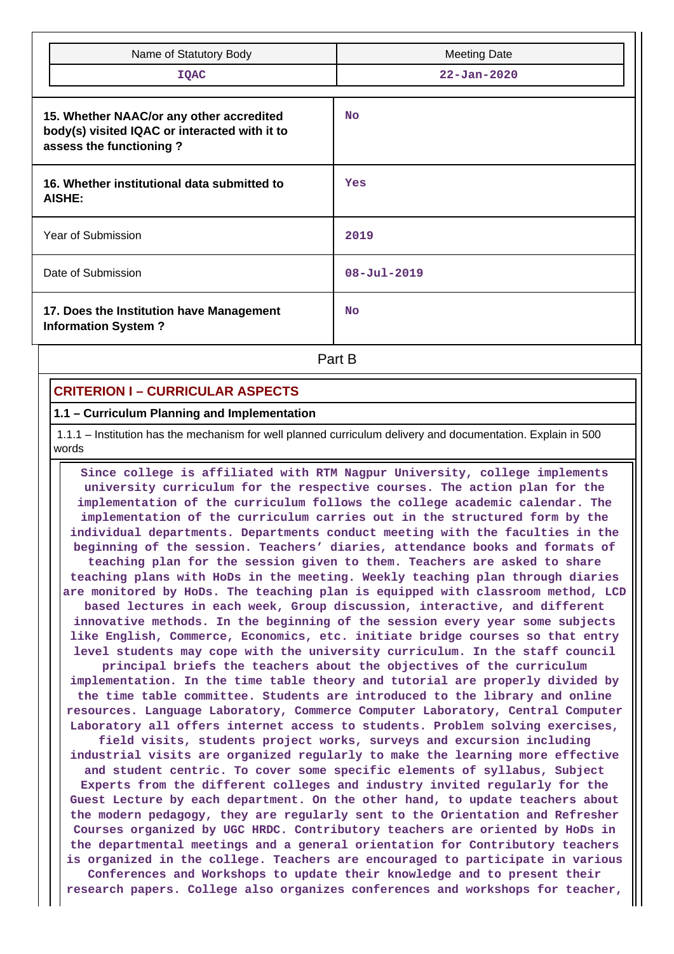| Name of Statutory Body<br>IQAC                                                                                       | <b>Meeting Date</b><br>$22 - Jan - 2020$ |
|----------------------------------------------------------------------------------------------------------------------|------------------------------------------|
| 15. Whether NAAC/or any other accredited<br>body(s) visited IQAC or interacted with it to<br>assess the functioning? | <b>No</b>                                |
| 16. Whether institutional data submitted to<br>AISHE:                                                                | Yes                                      |
| Year of Submission                                                                                                   | 2019                                     |
| Date of Submission                                                                                                   | $08 - \text{Jul} - 2019$                 |
| 17. Does the Institution have Management<br><b>Information System?</b>                                               | <b>No</b>                                |

**Part B** 

# **CRITERION I – CURRICULAR ASPECTS**

### **1.1 – Curriculum Planning and Implementation**

 1.1.1 – Institution has the mechanism for well planned curriculum delivery and documentation. Explain in 500 words

 **Since college is affiliated with RTM Nagpur University, college implements university curriculum for the respective courses. The action plan for the implementation of the curriculum follows the college academic calendar. The implementation of the curriculum carries out in the structured form by the individual departments. Departments conduct meeting with the faculties in the beginning of the session. Teachers' diaries, attendance books and formats of teaching plan for the session given to them. Teachers are asked to share teaching plans with HoDs in the meeting. Weekly teaching plan through diaries are monitored by HoDs. The teaching plan is equipped with classroom method, LCD based lectures in each week, Group discussion, interactive, and different innovative methods. In the beginning of the session every year some subjects like English, Commerce, Economics, etc. initiate bridge courses so that entry level students may cope with the university curriculum. In the staff council principal briefs the teachers about the objectives of the curriculum implementation. In the time table theory and tutorial are properly divided by the time table committee. Students are introduced to the library and online resources. Language Laboratory, Commerce Computer Laboratory, Central Computer Laboratory all offers internet access to students. Problem solving exercises, field visits, students project works, surveys and excursion including industrial visits are organized regularly to make the learning more effective and student centric. To cover some specific elements of syllabus, Subject Experts from the different colleges and industry invited regularly for the Guest Lecture by each department. On the other hand, to update teachers about the modern pedagogy, they are regularly sent to the Orientation and Refresher Courses organized by UGC HRDC. Contributory teachers are oriented by HoDs in the departmental meetings and a general orientation for Contributory teachers is organized in the college. Teachers are encouraged to participate in various Conferences and Workshops to update their knowledge and to present their research papers. College also organizes conferences and workshops for teacher,**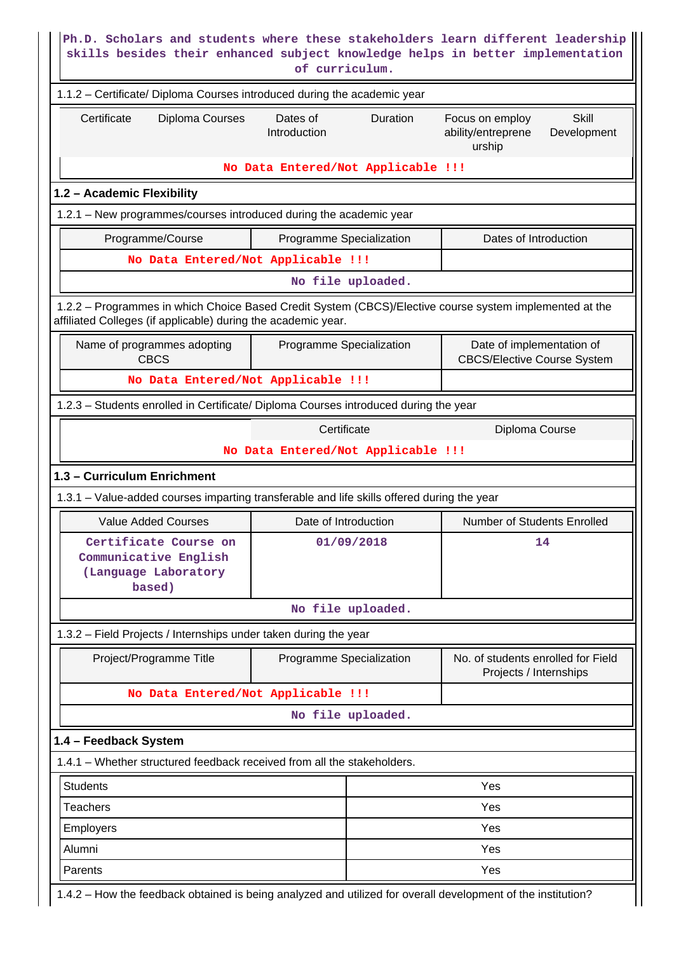|                                                                                                                                                                          | of curriculum.                       | Ph.D. Scholars and students where these stakeholders learn different leadership<br>skills besides their enhanced subject knowledge helps in better implementation |
|--------------------------------------------------------------------------------------------------------------------------------------------------------------------------|--------------------------------------|-------------------------------------------------------------------------------------------------------------------------------------------------------------------|
| 1.1.2 - Certificate/ Diploma Courses introduced during the academic year                                                                                                 |                                      |                                                                                                                                                                   |
| Certificate<br>Diploma Courses                                                                                                                                           | Dates of<br>Duration<br>Introduction | Focus on employ<br>Skill<br>ability/entreprene<br>Development<br>urship                                                                                           |
|                                                                                                                                                                          | No Data Entered/Not Applicable !!!   |                                                                                                                                                                   |
| 1.2 - Academic Flexibility                                                                                                                                               |                                      |                                                                                                                                                                   |
| 1.2.1 - New programmes/courses introduced during the academic year                                                                                                       |                                      |                                                                                                                                                                   |
| Programme/Course                                                                                                                                                         | Programme Specialization             | Dates of Introduction                                                                                                                                             |
| No Data Entered/Not Applicable !!!                                                                                                                                       |                                      |                                                                                                                                                                   |
|                                                                                                                                                                          | No file uploaded.                    |                                                                                                                                                                   |
| 1.2.2 - Programmes in which Choice Based Credit System (CBCS)/Elective course system implemented at the<br>affiliated Colleges (if applicable) during the academic year. |                                      |                                                                                                                                                                   |
| Name of programmes adopting<br><b>CBCS</b>                                                                                                                               | Programme Specialization             | Date of implementation of<br><b>CBCS/Elective Course System</b>                                                                                                   |
| No Data Entered/Not Applicable !!!                                                                                                                                       |                                      |                                                                                                                                                                   |
| 1.2.3 - Students enrolled in Certificate/ Diploma Courses introduced during the year                                                                                     |                                      |                                                                                                                                                                   |
|                                                                                                                                                                          | Certificate                          | Diploma Course                                                                                                                                                    |
|                                                                                                                                                                          | No Data Entered/Not Applicable !!!   |                                                                                                                                                                   |
| 1.3 - Curriculum Enrichment                                                                                                                                              |                                      |                                                                                                                                                                   |
| 1.3.1 – Value-added courses imparting transferable and life skills offered during the year                                                                               |                                      |                                                                                                                                                                   |
| <b>Value Added Courses</b>                                                                                                                                               | Date of Introduction                 | Number of Students Enrolled                                                                                                                                       |
| Certificate Course on<br>Communicative English<br>(Language Laboratory<br>based)                                                                                         | 01/09/2018                           | 14                                                                                                                                                                |
|                                                                                                                                                                          | No file uploaded.                    |                                                                                                                                                                   |
| 1.3.2 - Field Projects / Internships under taken during the year                                                                                                         |                                      |                                                                                                                                                                   |
| Project/Programme Title                                                                                                                                                  | Programme Specialization             | No. of students enrolled for Field<br>Projects / Internships                                                                                                      |
| No Data Entered/Not Applicable !!!                                                                                                                                       |                                      |                                                                                                                                                                   |
|                                                                                                                                                                          | No file uploaded.                    |                                                                                                                                                                   |
| 1.4 - Feedback System                                                                                                                                                    |                                      |                                                                                                                                                                   |
| 1.4.1 – Whether structured feedback received from all the stakeholders.                                                                                                  |                                      |                                                                                                                                                                   |
| <b>Students</b>                                                                                                                                                          |                                      | Yes                                                                                                                                                               |
|                                                                                                                                                                          |                                      | Yes                                                                                                                                                               |
| <b>Teachers</b>                                                                                                                                                          |                                      |                                                                                                                                                                   |
| <b>Employers</b>                                                                                                                                                         |                                      | Yes                                                                                                                                                               |
| Alumni                                                                                                                                                                   |                                      | Yes                                                                                                                                                               |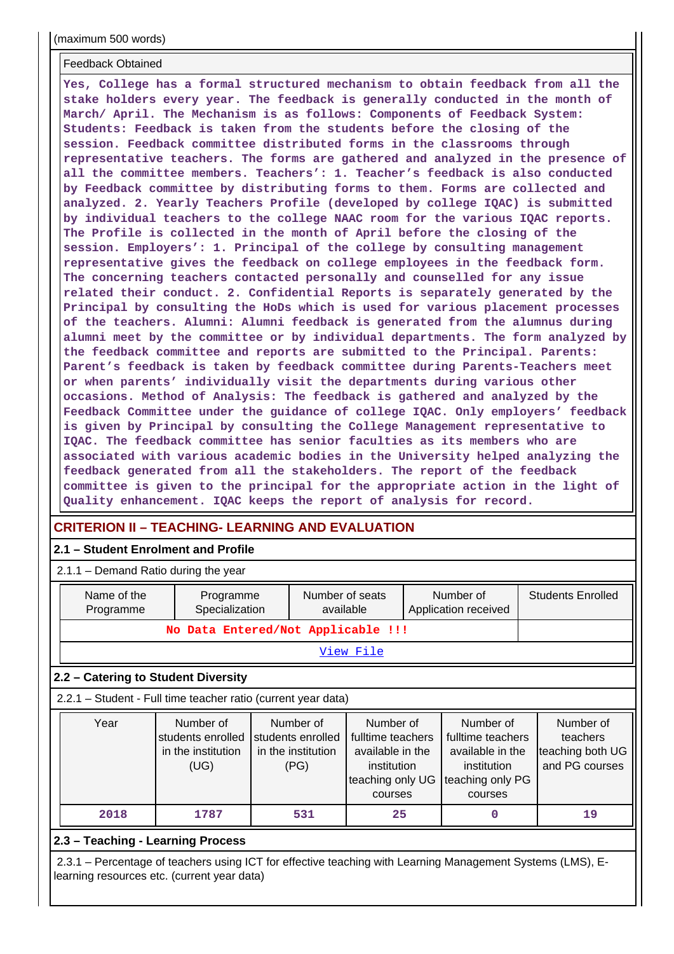(maximum 500 words)

#### Feedback Obtained

**Yes, College has a formal structured mechanism to obtain feedback from all the stake holders every year. The feedback is generally conducted in the month of March/ April. The Mechanism is as follows: Components of Feedback System: Students: Feedback is taken from the students before the closing of the session. Feedback committee distributed forms in the classrooms through representative teachers. The forms are gathered and analyzed in the presence of all the committee members. Teachers': 1. Teacher's feedback is also conducted by Feedback committee by distributing forms to them. Forms are collected and analyzed. 2. Yearly Teachers Profile (developed by college IQAC) is submitted by individual teachers to the college NAAC room for the various IQAC reports. The Profile is collected in the month of April before the closing of the session. Employers': 1. Principal of the college by consulting management representative gives the feedback on college employees in the feedback form. The concerning teachers contacted personally and counselled for any issue related their conduct. 2. Confidential Reports is separately generated by the Principal by consulting the HoDs which is used for various placement processes of the teachers. Alumni: Alumni feedback is generated from the alumnus during alumni meet by the committee or by individual departments. The form analyzed by the feedback committee and reports are submitted to the Principal. Parents: Parent's feedback is taken by feedback committee during Parents-Teachers meet or when parents' individually visit the departments during various other occasions. Method of Analysis: The feedback is gathered and analyzed by the Feedback Committee under the guidance of college IQAC. Only employers' feedback is given by Principal by consulting the College Management representative to IQAC. The feedback committee has senior faculties as its members who are associated with various academic bodies in the University helped analyzing the feedback generated from all the stakeholders. The report of the feedback committee is given to the principal for the appropriate action in the light of Quality enhancement. IQAC keeps the report of analysis for record.**

# **CRITERION II – TEACHING- LEARNING AND EVALUATION**

## **2.1 – Student Enrolment and Profile**

2.1.1 – Demand Ratio during the year

| Name of the<br>Programme                                                                                                                                  | Programme<br>Specialization                                  |                                                              | Number of seats<br>available |                                                                                                  | Number of<br>Application received |                                                                                                  | <b>Students Enrolled</b> |                                                             |  |
|-----------------------------------------------------------------------------------------------------------------------------------------------------------|--------------------------------------------------------------|--------------------------------------------------------------|------------------------------|--------------------------------------------------------------------------------------------------|-----------------------------------|--------------------------------------------------------------------------------------------------|--------------------------|-------------------------------------------------------------|--|
| No Data Entered/Not Applicable !!!                                                                                                                        |                                                              |                                                              |                              |                                                                                                  |                                   |                                                                                                  |                          |                                                             |  |
| <u>View File</u>                                                                                                                                          |                                                              |                                                              |                              |                                                                                                  |                                   |                                                                                                  |                          |                                                             |  |
| 2.2 – Catering to Student Diversity                                                                                                                       |                                                              |                                                              |                              |                                                                                                  |                                   |                                                                                                  |                          |                                                             |  |
| 2.2.1 - Student - Full time teacher ratio (current year data)                                                                                             |                                                              |                                                              |                              |                                                                                                  |                                   |                                                                                                  |                          |                                                             |  |
| Year                                                                                                                                                      | Number of<br>students enrolled<br>in the institution<br>(UG) | Number of<br>students enrolled<br>in the institution<br>(PG) |                              | Number of<br>fulltime teachers<br>available in the<br>institution<br>teaching only UG<br>courses |                                   | Number of<br>fulltime teachers<br>available in the<br>institution<br>teaching only PG<br>courses |                          | Number of<br>teachers<br>teaching both UG<br>and PG courses |  |
| 2018                                                                                                                                                      | 1787                                                         | 531                                                          |                              | 25                                                                                               |                                   | 0                                                                                                |                          | 19                                                          |  |
| 2.3 - Teaching - Learning Process                                                                                                                         |                                                              |                                                              |                              |                                                                                                  |                                   |                                                                                                  |                          |                                                             |  |
| 2.3.1 – Percentage of teachers using ICT for effective teaching with Learning Management Systems (LMS), E-<br>learning resources etc. (current year data) |                                                              |                                                              |                              |                                                                                                  |                                   |                                                                                                  |                          |                                                             |  |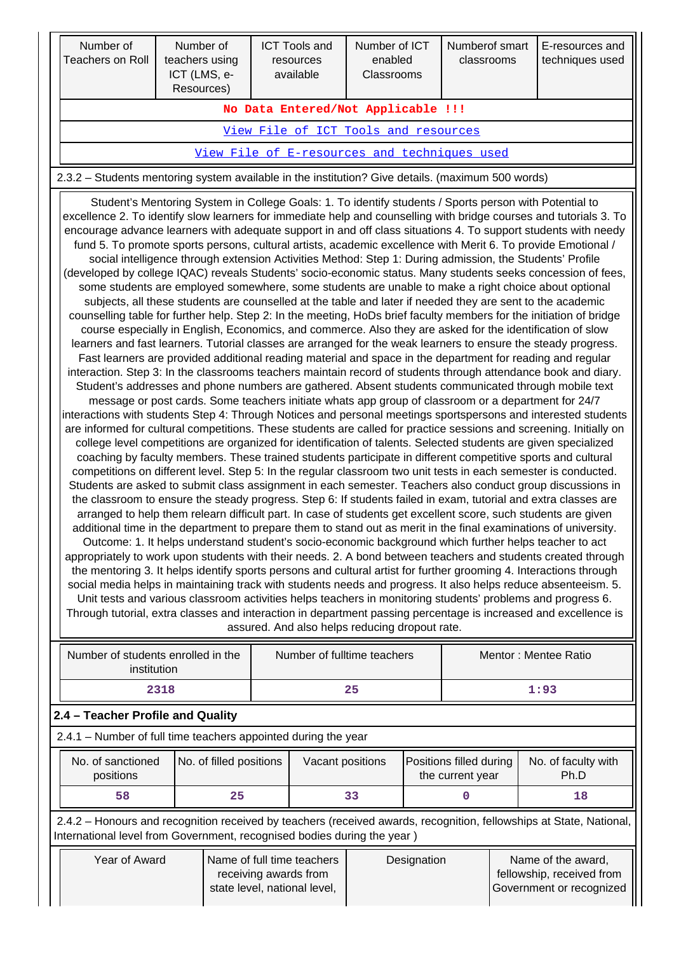| Number of<br>Teachers on Roll      | Number of<br>teachers using<br>ICT (LMS, e-<br>Resources) | <b>ICT Tools and</b><br>resources<br>available | Number of ICT<br>enabled<br><b>Classrooms</b> | Numberof smart<br>classrooms | E-resources and<br>techniques used |  |  |  |  |
|------------------------------------|-----------------------------------------------------------|------------------------------------------------|-----------------------------------------------|------------------------------|------------------------------------|--|--|--|--|
| No Data Entered/Not Applicable !!! |                                                           |                                                |                                               |                              |                                    |  |  |  |  |
|                                    |                                                           | View File of ICT Tools and resources           |                                               |                              |                                    |  |  |  |  |

# [View File of E-resources and techniques used](https://assessmentonline.naac.gov.in/public/Postacc/e_resource/2444_e_resource_1640247859.xlsx)

2.3.2 – Students mentoring system available in the institution? Give details. (maximum 500 words)

 Student's Mentoring System in College Goals: 1. To identify students / Sports person with Potential to excellence 2. To identify slow learners for immediate help and counselling with bridge courses and tutorials 3. To encourage advance learners with adequate support in and off class situations 4. To support students with needy fund 5. To promote sports persons, cultural artists, academic excellence with Merit 6. To provide Emotional / social intelligence through extension Activities Method: Step 1: During admission, the Students' Profile (developed by college IQAC) reveals Students' socio-economic status. Many students seeks concession of fees, some students are employed somewhere, some students are unable to make a right choice about optional subjects, all these students are counselled at the table and later if needed they are sent to the academic counselling table for further help. Step 2: In the meeting, HoDs brief faculty members for the initiation of bridge course especially in English, Economics, and commerce. Also they are asked for the identification of slow learners and fast learners. Tutorial classes are arranged for the weak learners to ensure the steady progress. Fast learners are provided additional reading material and space in the department for reading and regular interaction. Step 3: In the classrooms teachers maintain record of students through attendance book and diary. Student's addresses and phone numbers are gathered. Absent students communicated through mobile text message or post cards. Some teachers initiate whats app group of classroom or a department for 24/7 interactions with students Step 4: Through Notices and personal meetings sportspersons and interested students are informed for cultural competitions. These students are called for practice sessions and screening. Initially on college level competitions are organized for identification of talents. Selected students are given specialized coaching by faculty members. These trained students participate in different competitive sports and cultural competitions on different level. Step 5: In the regular classroom two unit tests in each semester is conducted. Students are asked to submit class assignment in each semester. Teachers also conduct group discussions in the classroom to ensure the steady progress. Step 6: If students failed in exam, tutorial and extra classes are arranged to help them relearn difficult part. In case of students get excellent score, such students are given additional time in the department to prepare them to stand out as merit in the final examinations of university. Outcome: 1. It helps understand student's socio-economic background which further helps teacher to act appropriately to work upon students with their needs. 2. A bond between teachers and students created through the mentoring 3. It helps identify sports persons and cultural artist for further grooming 4. Interactions through social media helps in maintaining track with students needs and progress. It also helps reduce absenteeism. 5. Unit tests and various classroom activities helps teachers in monitoring students' problems and progress 6. Through tutorial, extra classes and interaction in department passing percentage is increased and excellence is assured. And also helps reducing dropout rate.

| Number of students enrolled in the<br>institution                                                                                                                                              |                         |    | Number of fulltime teachers                                                         |  |                                             | Mentor: Mentee Ratio |    |                                                                             |  |
|------------------------------------------------------------------------------------------------------------------------------------------------------------------------------------------------|-------------------------|----|-------------------------------------------------------------------------------------|--|---------------------------------------------|----------------------|----|-----------------------------------------------------------------------------|--|
| 2318                                                                                                                                                                                           |                         | 25 |                                                                                     |  |                                             | 1:93                 |    |                                                                             |  |
| 2.4 – Teacher Profile and Quality                                                                                                                                                              |                         |    |                                                                                     |  |                                             |                      |    |                                                                             |  |
| 2.4.1 – Number of full time teachers appointed during the year                                                                                                                                 |                         |    |                                                                                     |  |                                             |                      |    |                                                                             |  |
| No. of sanctioned<br>positions                                                                                                                                                                 | No. of filled positions |    | Vacant positions                                                                    |  | Positions filled during<br>the current year |                      |    | No. of faculty with<br>Ph.D                                                 |  |
| 58                                                                                                                                                                                             | 25                      |    | 33                                                                                  |  | ი                                           |                      | 18 |                                                                             |  |
| 2.4.2 – Honours and recognition received by teachers (received awards, recognition, fellowships at State, National,<br>International level from Government, recognised bodies during the year) |                         |    |                                                                                     |  |                                             |                      |    |                                                                             |  |
| Year of Award                                                                                                                                                                                  |                         |    | Name of full time teachers<br>receiving awards from<br>state level, national level, |  | Designation                                 |                      |    | Name of the award,<br>fellowship, received from<br>Government or recognized |  |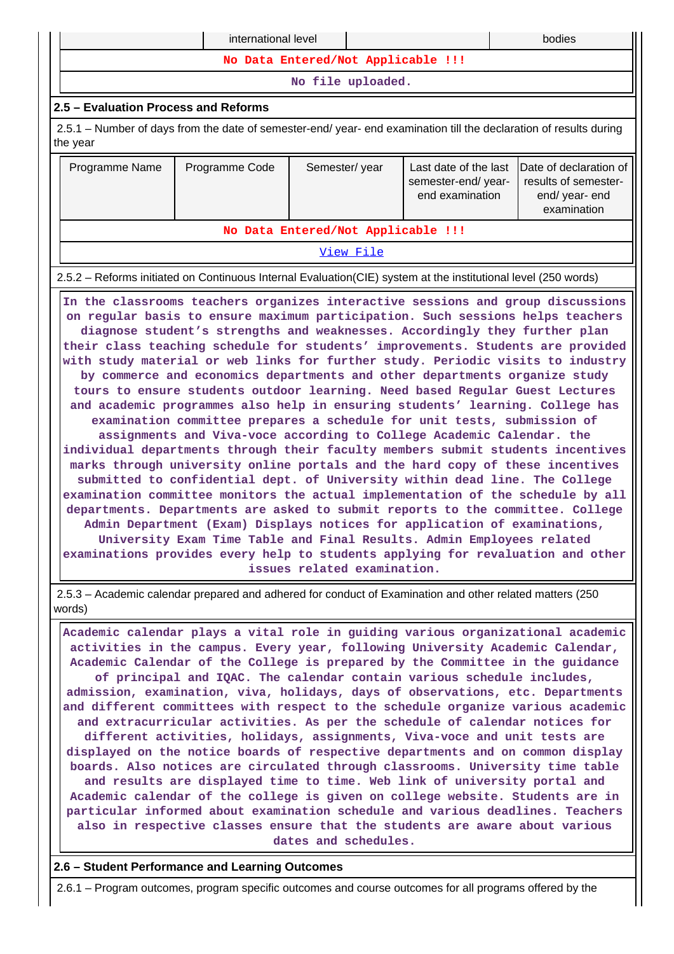| international level<br>bodies                                                                                                                                                                                                                                                                                                                                                                                                                                                                                                                                                                                                                                                                                                                                                                                                                                                                                                                                                                                                                                                                                                                                                                                                                                                                                                                                                                                                                                                                                                                                                                                                               |  |                                    |           |                                                                        |  |  |  |  |  |  |
|---------------------------------------------------------------------------------------------------------------------------------------------------------------------------------------------------------------------------------------------------------------------------------------------------------------------------------------------------------------------------------------------------------------------------------------------------------------------------------------------------------------------------------------------------------------------------------------------------------------------------------------------------------------------------------------------------------------------------------------------------------------------------------------------------------------------------------------------------------------------------------------------------------------------------------------------------------------------------------------------------------------------------------------------------------------------------------------------------------------------------------------------------------------------------------------------------------------------------------------------------------------------------------------------------------------------------------------------------------------------------------------------------------------------------------------------------------------------------------------------------------------------------------------------------------------------------------------------------------------------------------------------|--|------------------------------------|-----------|------------------------------------------------------------------------|--|--|--|--|--|--|
| No Data Entered/Not Applicable !!!                                                                                                                                                                                                                                                                                                                                                                                                                                                                                                                                                                                                                                                                                                                                                                                                                                                                                                                                                                                                                                                                                                                                                                                                                                                                                                                                                                                                                                                                                                                                                                                                          |  |                                    |           |                                                                        |  |  |  |  |  |  |
| No file uploaded.                                                                                                                                                                                                                                                                                                                                                                                                                                                                                                                                                                                                                                                                                                                                                                                                                                                                                                                                                                                                                                                                                                                                                                                                                                                                                                                                                                                                                                                                                                                                                                                                                           |  |                                    |           |                                                                        |  |  |  |  |  |  |
| 2.5 - Evaluation Process and Reforms                                                                                                                                                                                                                                                                                                                                                                                                                                                                                                                                                                                                                                                                                                                                                                                                                                                                                                                                                                                                                                                                                                                                                                                                                                                                                                                                                                                                                                                                                                                                                                                                        |  |                                    |           |                                                                        |  |  |  |  |  |  |
| 2.5.1 – Number of days from the date of semester-end/ year- end examination till the declaration of results during<br>the year                                                                                                                                                                                                                                                                                                                                                                                                                                                                                                                                                                                                                                                                                                                                                                                                                                                                                                                                                                                                                                                                                                                                                                                                                                                                                                                                                                                                                                                                                                              |  |                                    |           |                                                                        |  |  |  |  |  |  |
| Last date of the last<br>Date of declaration of<br>Programme Name<br>Programme Code<br>Semester/year<br>results of semester-<br>semester-end/year-<br>end examination<br>end/ year- end<br>examination                                                                                                                                                                                                                                                                                                                                                                                                                                                                                                                                                                                                                                                                                                                                                                                                                                                                                                                                                                                                                                                                                                                                                                                                                                                                                                                                                                                                                                      |  |                                    |           |                                                                        |  |  |  |  |  |  |
|                                                                                                                                                                                                                                                                                                                                                                                                                                                                                                                                                                                                                                                                                                                                                                                                                                                                                                                                                                                                                                                                                                                                                                                                                                                                                                                                                                                                                                                                                                                                                                                                                                             |  | No Data Entered/Not Applicable !!! |           |                                                                        |  |  |  |  |  |  |
|                                                                                                                                                                                                                                                                                                                                                                                                                                                                                                                                                                                                                                                                                                                                                                                                                                                                                                                                                                                                                                                                                                                                                                                                                                                                                                                                                                                                                                                                                                                                                                                                                                             |  |                                    | View File |                                                                        |  |  |  |  |  |  |
|                                                                                                                                                                                                                                                                                                                                                                                                                                                                                                                                                                                                                                                                                                                                                                                                                                                                                                                                                                                                                                                                                                                                                                                                                                                                                                                                                                                                                                                                                                                                                                                                                                             |  |                                    |           |                                                                        |  |  |  |  |  |  |
| 2.5.2 – Reforms initiated on Continuous Internal Evaluation (CIE) system at the institutional level (250 words)<br>In the classrooms teachers organizes interactive sessions and group discussions<br>on regular basis to ensure maximum participation. Such sessions helps teachers<br>diagnose student's strengths and weaknesses. Accordingly they further plan<br>their class teaching schedule for students' improvements. Students are provided<br>with study material or web links for further study. Periodic visits to industry<br>by commerce and economics departments and other departments organize study<br>tours to ensure students outdoor learning. Need based Regular Guest Lectures<br>and academic programmes also help in ensuring students' learning. College has<br>examination committee prepares a schedule for unit tests, submission of<br>assignments and Viva-voce according to College Academic Calendar. the<br>individual departments through their faculty members submit students incentives<br>marks through university online portals and the hard copy of these incentives<br>submitted to confidential dept. of University within dead line. The College<br>examination committee monitors the actual implementation of the schedule by all<br>departments. Departments are asked to submit reports to the committee. College<br>Admin Department (Exam) Displays notices for application of examinations,<br>University Exam Time Table and Final Results. Admin Employees related<br>examinations provides every help to students applying for revaluation and other<br>issues related examination. |  |                                    |           |                                                                        |  |  |  |  |  |  |
| 2.5.3 - Academic calendar prepared and adhered for conduct of Examination and other related matters (250<br>words)                                                                                                                                                                                                                                                                                                                                                                                                                                                                                                                                                                                                                                                                                                                                                                                                                                                                                                                                                                                                                                                                                                                                                                                                                                                                                                                                                                                                                                                                                                                          |  |                                    |           |                                                                        |  |  |  |  |  |  |
| Academic calendar plays a vital role in guiding various organizational academic<br>activities in the campus. Every year, following University Academic Calendar,<br>Academic Calendar of the College is prepared by the Committee in the guidance<br>admission, examination, viva, holidays, days of observations, etc. Departments<br>and different committees with respect to the schedule organize various academic<br>and extracurricular activities. As per the schedule of calendar notices for<br>different activities, holidays, assignments, Viva-voce and unit tests are<br>displayed on the notice boards of respective departments and on common display<br>boards. Also notices are circulated through classrooms. University time table<br>and results are displayed time to time. Web link of university portal and<br>Academic calendar of the college is given on college website. Students are in<br>particular informed about examination schedule and various deadlines. Teachers                                                                                                                                                                                                                                                                                                                                                                                                                                                                                                                                                                                                                                       |  |                                    |           | of principal and IQAC. The calendar contain various schedule includes, |  |  |  |  |  |  |

**also in respective classes ensure that the students are aware about various dates and schedules.**

# **2.6 – Student Performance and Learning Outcomes**

2.6.1 – Program outcomes, program specific outcomes and course outcomes for all programs offered by the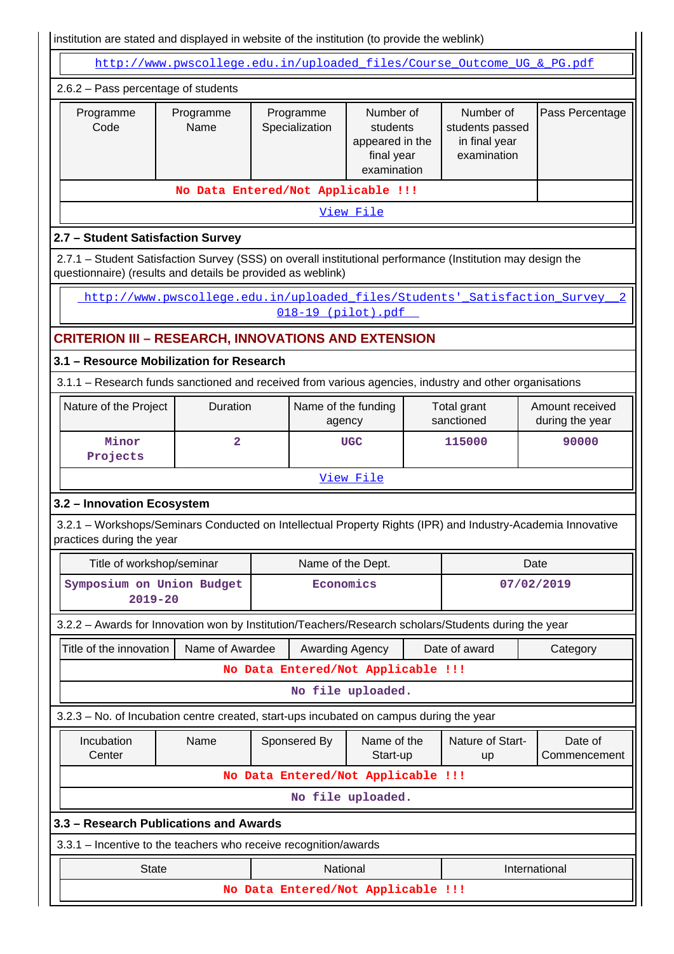| institution are stated and displayed in website of the institution (to provide the weblink)                                                                               |                                                                           |                                    |                                                                       |  |                                                              |                                    |  |  |  |  |  |  |
|---------------------------------------------------------------------------------------------------------------------------------------------------------------------------|---------------------------------------------------------------------------|------------------------------------|-----------------------------------------------------------------------|--|--------------------------------------------------------------|------------------------------------|--|--|--|--|--|--|
|                                                                                                                                                                           | http://www.pwscollege.edu.in/uploaded files/Course Outcome UG & PG.pdf    |                                    |                                                                       |  |                                                              |                                    |  |  |  |  |  |  |
| 2.6.2 - Pass percentage of students                                                                                                                                       |                                                                           |                                    |                                                                       |  |                                                              |                                    |  |  |  |  |  |  |
| Programme<br>Code                                                                                                                                                         | Programme<br>Name                                                         | Programme<br>Specialization        | Number of<br>students<br>appeared in the<br>final year<br>examination |  | Number of<br>students passed<br>in final year<br>examination | Pass Percentage                    |  |  |  |  |  |  |
| No Data Entered/Not Applicable !!!                                                                                                                                        |                                                                           |                                    |                                                                       |  |                                                              |                                    |  |  |  |  |  |  |
|                                                                                                                                                                           |                                                                           |                                    | View File                                                             |  |                                                              |                                    |  |  |  |  |  |  |
| 2.7 - Student Satisfaction Survey                                                                                                                                         |                                                                           |                                    |                                                                       |  |                                                              |                                    |  |  |  |  |  |  |
| 2.7.1 - Student Satisfaction Survey (SSS) on overall institutional performance (Institution may design the<br>questionnaire) (results and details be provided as weblink) |                                                                           |                                    |                                                                       |  |                                                              |                                    |  |  |  |  |  |  |
|                                                                                                                                                                           | http://www.pwscollege.edu.in/uploaded files/Students' Satisfaction Survey | 018-19 (pilot).pdf                 |                                                                       |  |                                                              |                                    |  |  |  |  |  |  |
| <b>CRITERION III - RESEARCH, INNOVATIONS AND EXTENSION</b>                                                                                                                |                                                                           |                                    |                                                                       |  |                                                              |                                    |  |  |  |  |  |  |
| 3.1 - Resource Mobilization for Research                                                                                                                                  |                                                                           |                                    |                                                                       |  |                                                              |                                    |  |  |  |  |  |  |
| 3.1.1 - Research funds sanctioned and received from various agencies, industry and other organisations                                                                    |                                                                           |                                    |                                                                       |  |                                                              |                                    |  |  |  |  |  |  |
| Nature of the Project                                                                                                                                                     | Duration                                                                  |                                    | Name of the funding<br>agency                                         |  | Total grant<br>sanctioned                                    | Amount received<br>during the year |  |  |  |  |  |  |
| Minor<br>Projects                                                                                                                                                         | $\overline{\mathbf{2}}$                                                   |                                    | <b>UGC</b>                                                            |  | 115000                                                       | 90000                              |  |  |  |  |  |  |
|                                                                                                                                                                           |                                                                           |                                    | View File                                                             |  |                                                              |                                    |  |  |  |  |  |  |
| 3.2 - Innovation Ecosystem                                                                                                                                                |                                                                           |                                    |                                                                       |  |                                                              |                                    |  |  |  |  |  |  |
| 3.2.1 - Workshops/Seminars Conducted on Intellectual Property Rights (IPR) and Industry-Academia Innovative<br>practices during the year                                  |                                                                           |                                    |                                                                       |  |                                                              |                                    |  |  |  |  |  |  |
| Title of workshop/seminar                                                                                                                                                 |                                                                           |                                    | Name of the Dept.                                                     |  |                                                              | Date                               |  |  |  |  |  |  |
| Symposium on Union Budget<br>$2019 - 20$                                                                                                                                  |                                                                           |                                    | Economics                                                             |  |                                                              | 07/02/2019                         |  |  |  |  |  |  |
| 3.2.2 - Awards for Innovation won by Institution/Teachers/Research scholars/Students during the year                                                                      |                                                                           |                                    |                                                                       |  |                                                              |                                    |  |  |  |  |  |  |
| Title of the innovation                                                                                                                                                   | Name of Awardee                                                           |                                    | Awarding Agency                                                       |  | Date of award                                                | Category                           |  |  |  |  |  |  |
|                                                                                                                                                                           |                                                                           | No Data Entered/Not Applicable !!! |                                                                       |  |                                                              |                                    |  |  |  |  |  |  |
|                                                                                                                                                                           |                                                                           |                                    | No file uploaded.                                                     |  |                                                              |                                    |  |  |  |  |  |  |
| 3.2.3 - No. of Incubation centre created, start-ups incubated on campus during the year                                                                                   |                                                                           |                                    |                                                                       |  |                                                              |                                    |  |  |  |  |  |  |
| Incubation<br>Center                                                                                                                                                      | Name                                                                      | Sponsered By                       | Name of the<br>Start-up                                               |  | Nature of Start-<br>up                                       | Date of<br>Commencement            |  |  |  |  |  |  |
|                                                                                                                                                                           |                                                                           | No Data Entered/Not Applicable !!! |                                                                       |  |                                                              |                                    |  |  |  |  |  |  |
|                                                                                                                                                                           |                                                                           |                                    | No file uploaded.                                                     |  |                                                              |                                    |  |  |  |  |  |  |
| 3.3 - Research Publications and Awards                                                                                                                                    |                                                                           |                                    |                                                                       |  |                                                              |                                    |  |  |  |  |  |  |
| 3.3.1 - Incentive to the teachers who receive recognition/awards                                                                                                          |                                                                           |                                    |                                                                       |  |                                                              |                                    |  |  |  |  |  |  |
| <b>State</b>                                                                                                                                                              |                                                                           |                                    | National                                                              |  |                                                              | International                      |  |  |  |  |  |  |
|                                                                                                                                                                           |                                                                           | No Data Entered/Not Applicable !!! |                                                                       |  |                                                              |                                    |  |  |  |  |  |  |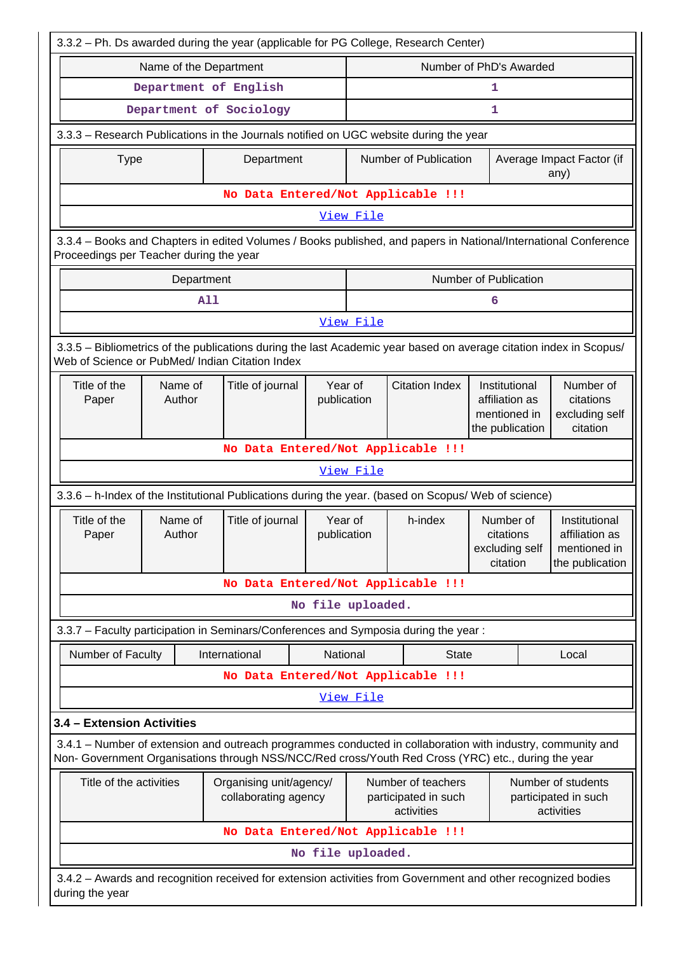|                                                                            |                   | 3.3.2 - Ph. Ds awarded during the year (applicable for PG College, Research Center)                                |                   |                                                                                                                      |                                    |                                                                    |                                                      |                                                                    |
|----------------------------------------------------------------------------|-------------------|--------------------------------------------------------------------------------------------------------------------|-------------------|----------------------------------------------------------------------------------------------------------------------|------------------------------------|--------------------------------------------------------------------|------------------------------------------------------|--------------------------------------------------------------------|
|                                                                            |                   | Name of the Department                                                                                             |                   |                                                                                                                      | Number of PhD's Awarded            |                                                                    |                                                      |                                                                    |
|                                                                            |                   | Department of English                                                                                              |                   |                                                                                                                      |                                    | 1                                                                  |                                                      |                                                                    |
|                                                                            |                   | Department of Sociology                                                                                            |                   |                                                                                                                      |                                    | 1                                                                  |                                                      |                                                                    |
|                                                                            |                   | 3.3.3 - Research Publications in the Journals notified on UGC website during the year                              |                   |                                                                                                                      |                                    |                                                                    |                                                      |                                                                    |
| <b>Type</b>                                                                |                   | Department                                                                                                         |                   |                                                                                                                      | Number of Publication              |                                                                    |                                                      | Average Impact Factor (if<br>any)                                  |
|                                                                            |                   |                                                                                                                    |                   |                                                                                                                      | No Data Entered/Not Applicable !!! |                                                                    |                                                      |                                                                    |
|                                                                            |                   |                                                                                                                    |                   | View File                                                                                                            |                                    |                                                                    |                                                      |                                                                    |
| Proceedings per Teacher during the year                                    |                   | 3.3.4 - Books and Chapters in edited Volumes / Books published, and papers in National/International Conference    |                   |                                                                                                                      |                                    |                                                                    |                                                      |                                                                    |
|                                                                            | Department        |                                                                                                                    |                   |                                                                                                                      |                                    | Number of Publication                                              |                                                      |                                                                    |
|                                                                            |                   | <b>A11</b>                                                                                                         |                   |                                                                                                                      |                                    | 6                                                                  |                                                      |                                                                    |
|                                                                            |                   |                                                                                                                    |                   | View File                                                                                                            |                                    |                                                                    |                                                      |                                                                    |
|                                                                            |                   | 3.3.5 - Bibliometrics of the publications during the last Academic year based on average citation index in Scopus/ |                   |                                                                                                                      |                                    |                                                                    |                                                      |                                                                    |
|                                                                            |                   | Web of Science or PubMed/ Indian Citation Index                                                                    |                   |                                                                                                                      |                                    |                                                                    |                                                      |                                                                    |
| Title of the<br>Paper                                                      | Name of<br>Author | Title of journal                                                                                                   |                   | Year of<br>publication                                                                                               | <b>Citation Index</b>              | Institutional<br>affiliation as<br>mentioned in<br>the publication | Number of<br>citations<br>excluding self<br>citation |                                                                    |
|                                                                            |                   |                                                                                                                    |                   |                                                                                                                      | No Data Entered/Not Applicable !!! |                                                                    |                                                      |                                                                    |
|                                                                            |                   |                                                                                                                    |                   | View File                                                                                                            |                                    |                                                                    |                                                      |                                                                    |
|                                                                            |                   | 3.3.6 - h-Index of the Institutional Publications during the year. (based on Scopus/ Web of science)               |                   |                                                                                                                      |                                    |                                                                    |                                                      |                                                                    |
| Title of the<br>Paper                                                      | Name of<br>Author | Title of journal                                                                                                   |                   | Year of<br>publication                                                                                               | h-index                            | Number of<br>citations<br>excluding self<br>citation               |                                                      | Institutional<br>affiliation as<br>mentioned in<br>the publication |
|                                                                            |                   |                                                                                                                    |                   |                                                                                                                      | No Data Entered/Not Applicable !!! |                                                                    |                                                      |                                                                    |
|                                                                            |                   |                                                                                                                    | No file uploaded. |                                                                                                                      |                                    |                                                                    |                                                      |                                                                    |
|                                                                            |                   | 3.3.7 - Faculty participation in Seminars/Conferences and Symposia during the year:                                |                   |                                                                                                                      |                                    |                                                                    |                                                      |                                                                    |
| Number of Faculty                                                          |                   | International                                                                                                      |                   | National                                                                                                             | <b>State</b>                       |                                                                    |                                                      | Local                                                              |
|                                                                            |                   |                                                                                                                    |                   |                                                                                                                      | No Data Entered/Not Applicable !!! |                                                                    |                                                      |                                                                    |
|                                                                            |                   |                                                                                                                    |                   | View File                                                                                                            |                                    |                                                                    |                                                      |                                                                    |
| 3.4 - Extension Activities                                                 |                   |                                                                                                                    |                   |                                                                                                                      |                                    |                                                                    |                                                      |                                                                    |
|                                                                            |                   | 3.4.1 – Number of extension and outreach programmes conducted in collaboration with industry, community and        |                   |                                                                                                                      |                                    |                                                                    |                                                      |                                                                    |
|                                                                            |                   | Non- Government Organisations through NSS/NCC/Red cross/Youth Red Cross (YRC) etc., during the year                |                   |                                                                                                                      |                                    |                                                                    |                                                      |                                                                    |
| Title of the activities<br>Organising unit/agency/<br>collaborating agency |                   |                                                                                                                    |                   | Number of teachers<br>Number of students<br>participated in such<br>participated in such<br>activities<br>activities |                                    |                                                                    |                                                      |                                                                    |
|                                                                            |                   |                                                                                                                    |                   |                                                                                                                      | No Data Entered/Not Applicable !!! |                                                                    |                                                      |                                                                    |
|                                                                            |                   |                                                                                                                    | No file uploaded. |                                                                                                                      |                                    |                                                                    |                                                      |                                                                    |
|                                                                            |                   | 3.4.2 - Awards and recognition received for extension activities from Government and other recognized bodies       |                   |                                                                                                                      |                                    |                                                                    |                                                      |                                                                    |
| during the year                                                            |                   |                                                                                                                    |                   |                                                                                                                      |                                    |                                                                    |                                                      |                                                                    |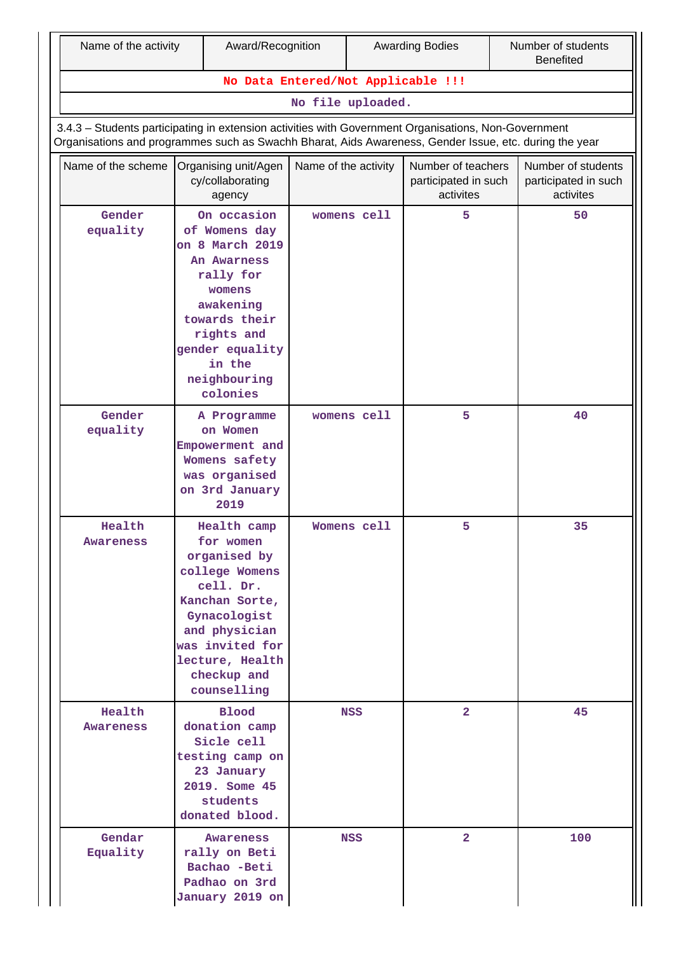|                     | Name of the activity<br>Award/Recognition                                                                                                                                                                      |                                                                                                                                                                                                | <b>Awarding Bodies</b> |             | Number of students<br><b>Benefited</b>                  |  |                                                         |  |
|---------------------|----------------------------------------------------------------------------------------------------------------------------------------------------------------------------------------------------------------|------------------------------------------------------------------------------------------------------------------------------------------------------------------------------------------------|------------------------|-------------|---------------------------------------------------------|--|---------------------------------------------------------|--|
|                     |                                                                                                                                                                                                                | No Data Entered/Not Applicable !!!                                                                                                                                                             |                        |             |                                                         |  |                                                         |  |
|                     | No file uploaded.                                                                                                                                                                                              |                                                                                                                                                                                                |                        |             |                                                         |  |                                                         |  |
|                     | 3.4.3 - Students participating in extension activities with Government Organisations, Non-Government<br>Organisations and programmes such as Swachh Bharat, Aids Awareness, Gender Issue, etc. during the year |                                                                                                                                                                                                |                        |             |                                                         |  |                                                         |  |
| Name of the scheme  |                                                                                                                                                                                                                | Organising unit/Agen<br>cy/collaborating<br>agency                                                                                                                                             | Name of the activity   |             | Number of teachers<br>participated in such<br>activites |  | Number of students<br>participated in such<br>activites |  |
| Gender<br>equality  |                                                                                                                                                                                                                | On occasion<br>of Womens day<br>on 8 March 2019<br>An Awarness<br>rally for<br>womens<br>awakening<br>towards their<br>rights and<br>gender equality<br>in the<br>neighbouring<br>colonies     |                        | womens cell | 5                                                       |  | 50                                                      |  |
| Gender<br>equality  |                                                                                                                                                                                                                | A Programme<br>on Women<br>Empowerment and<br>Womens safety<br>was organised<br>on 3rd January<br>2019                                                                                         |                        | womens cell | 5                                                       |  | 40                                                      |  |
| Health<br>Awareness |                                                                                                                                                                                                                | Health camp<br>for women<br>organised by<br>college Womens<br>cell. Dr.<br>Kanchan Sorte,<br>Gynacologist<br>and physician<br>was invited for<br>lecture, Health<br>checkup and<br>counselling |                        | Womens cell | 5                                                       |  | 35                                                      |  |
| Health<br>Awareness |                                                                                                                                                                                                                | <b>Blood</b><br>donation camp<br>Sicle cell<br>testing camp on<br>23 January<br>2019. Some 45<br>students<br>donated blood.                                                                    |                        | <b>NSS</b>  | $\overline{2}$                                          |  | 45                                                      |  |
| Gendar<br>Equality  |                                                                                                                                                                                                                | <b>Awareness</b><br>rally on Beti<br>Bachao -Beti<br>Padhao on 3rd<br>January 2019 on                                                                                                          |                        | <b>NSS</b>  | $\overline{2}$                                          |  | 100                                                     |  |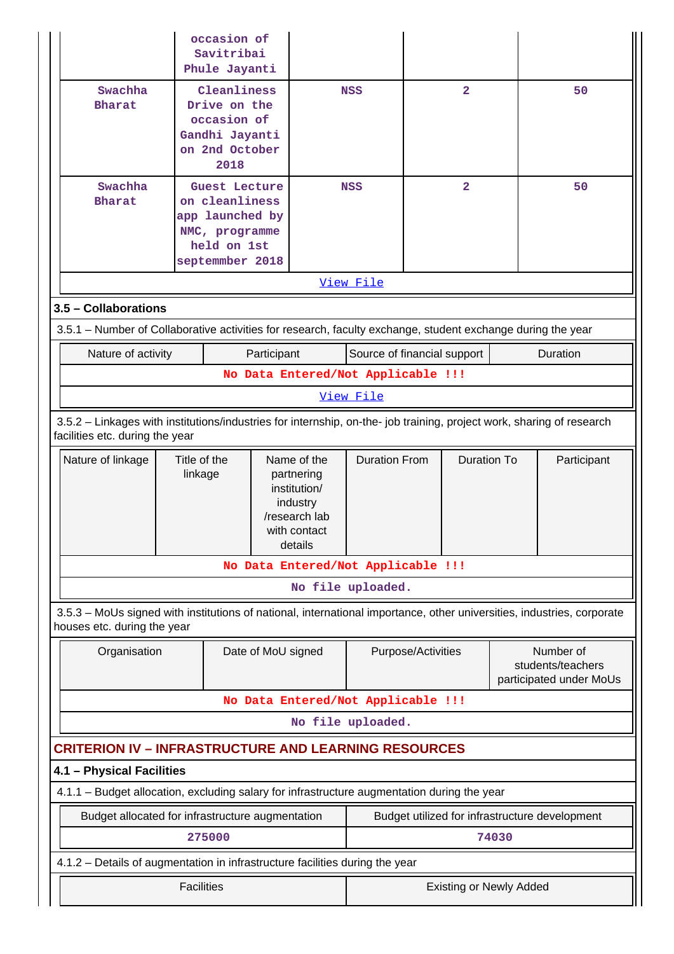|                                                                                                                                                          |                         | occasion of<br>Savitribai<br>Phule Jayanti                                                             |                                                                                                   |                                                |                    |                                |  |                                                           |  |
|----------------------------------------------------------------------------------------------------------------------------------------------------------|-------------------------|--------------------------------------------------------------------------------------------------------|---------------------------------------------------------------------------------------------------|------------------------------------------------|--------------------|--------------------------------|--|-----------------------------------------------------------|--|
| Swachha<br><b>Bharat</b>                                                                                                                                 |                         | Cleanliness<br>Drive on the<br>occasion of<br>Gandhi Jayanti<br>on 2nd October<br>2018                 |                                                                                                   | <b>NSS</b>                                     |                    | $\overline{\mathbf{2}}$        |  | 50                                                        |  |
| Swachha<br><b>Bharat</b>                                                                                                                                 |                         | Guest Lecture<br>on cleanliness<br>app launched by<br>NMC, programme<br>held on 1st<br>septemmber 2018 |                                                                                                   | <b>NSS</b>                                     |                    | $\overline{a}$                 |  | 50                                                        |  |
|                                                                                                                                                          |                         |                                                                                                        |                                                                                                   | View File                                      |                    |                                |  |                                                           |  |
| 3.5 - Collaborations                                                                                                                                     |                         |                                                                                                        |                                                                                                   |                                                |                    |                                |  |                                                           |  |
| 3.5.1 – Number of Collaborative activities for research, faculty exchange, student exchange during the year                                              |                         |                                                                                                        |                                                                                                   |                                                |                    |                                |  |                                                           |  |
| Nature of activity                                                                                                                                       |                         | Participant                                                                                            |                                                                                                   | Source of financial support                    |                    |                                |  | Duration                                                  |  |
|                                                                                                                                                          |                         | No Data Entered/Not Applicable !!!                                                                     |                                                                                                   |                                                |                    |                                |  |                                                           |  |
|                                                                                                                                                          |                         |                                                                                                        |                                                                                                   | <u>View File</u>                               |                    |                                |  |                                                           |  |
| 3.5.2 - Linkages with institutions/industries for internship, on-the- job training, project work, sharing of research<br>facilities etc. during the year |                         |                                                                                                        |                                                                                                   |                                                |                    |                                |  |                                                           |  |
| Nature of linkage                                                                                                                                        | Title of the<br>linkage |                                                                                                        | Name of the<br>partnering<br>institution/<br>industry<br>/research lab<br>with contact<br>details | <b>Duration From</b>                           |                    | <b>Duration To</b>             |  | Participant                                               |  |
|                                                                                                                                                          |                         | No Data Entered/Not Applicable !!!                                                                     |                                                                                                   |                                                |                    |                                |  |                                                           |  |
|                                                                                                                                                          |                         |                                                                                                        |                                                                                                   | No file uploaded.                              |                    |                                |  |                                                           |  |
| 3.5.3 – MoUs signed with institutions of national, international importance, other universities, industries, corporate<br>houses etc. during the year    |                         |                                                                                                        |                                                                                                   |                                                |                    |                                |  |                                                           |  |
| Organisation                                                                                                                                             |                         | Date of MoU signed                                                                                     |                                                                                                   |                                                | Purpose/Activities |                                |  | Number of<br>students/teachers<br>participated under MoUs |  |
|                                                                                                                                                          |                         | No Data Entered/Not Applicable !!!                                                                     |                                                                                                   |                                                |                    |                                |  |                                                           |  |
|                                                                                                                                                          |                         |                                                                                                        |                                                                                                   | No file uploaded.                              |                    |                                |  |                                                           |  |
| <b>CRITERION IV - INFRASTRUCTURE AND LEARNING RESOURCES</b>                                                                                              |                         |                                                                                                        |                                                                                                   |                                                |                    |                                |  |                                                           |  |
| 4.1 - Physical Facilities                                                                                                                                |                         |                                                                                                        |                                                                                                   |                                                |                    |                                |  |                                                           |  |
| 4.1.1 - Budget allocation, excluding salary for infrastructure augmentation during the year                                                              |                         |                                                                                                        |                                                                                                   |                                                |                    |                                |  |                                                           |  |
|                                                                                                                                                          |                         | Budget allocated for infrastructure augmentation                                                       |                                                                                                   | Budget utilized for infrastructure development |                    |                                |  |                                                           |  |
|                                                                                                                                                          |                         | 275000                                                                                                 |                                                                                                   |                                                |                    | 74030                          |  |                                                           |  |
| 4.1.2 - Details of augmentation in infrastructure facilities during the year                                                                             |                         |                                                                                                        |                                                                                                   |                                                |                    |                                |  |                                                           |  |
|                                                                                                                                                          | <b>Facilities</b>       |                                                                                                        |                                                                                                   |                                                |                    | <b>Existing or Newly Added</b> |  |                                                           |  |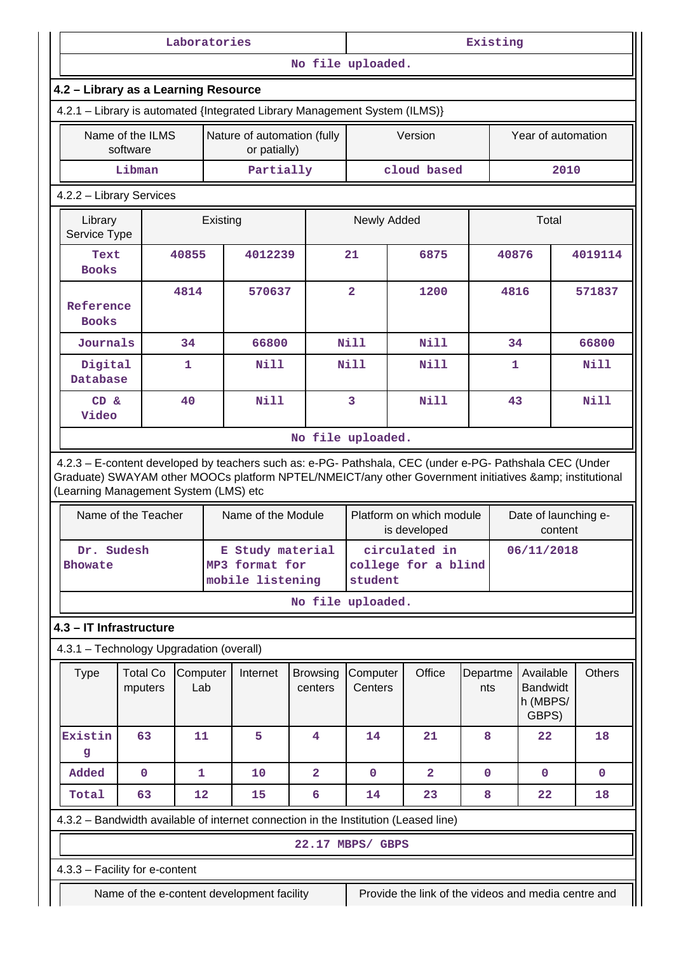| Laboratories                                                                                                                                                                                                                                            |                                      |                 |          |                                                        | Existing                   |                                                               |                                                     |                 |       |                                                   |               |
|---------------------------------------------------------------------------------------------------------------------------------------------------------------------------------------------------------------------------------------------------------|--------------------------------------|-----------------|----------|--------------------------------------------------------|----------------------------|---------------------------------------------------------------|-----------------------------------------------------|-----------------|-------|---------------------------------------------------|---------------|
|                                                                                                                                                                                                                                                         |                                      |                 |          |                                                        | No file uploaded.          |                                                               |                                                     |                 |       |                                                   |               |
|                                                                                                                                                                                                                                                         | 4.2 - Library as a Learning Resource |                 |          |                                                        |                            |                                                               |                                                     |                 |       |                                                   |               |
| 4.2.1 - Library is automated {Integrated Library Management System (ILMS)}                                                                                                                                                                              |                                      |                 |          |                                                        |                            |                                                               |                                                     |                 |       |                                                   |               |
|                                                                                                                                                                                                                                                         | Name of the ILMS<br>software         |                 |          | Nature of automation (fully<br>or patially)            |                            |                                                               | Version                                             |                 |       | Year of automation                                |               |
|                                                                                                                                                                                                                                                         | Libman                               |                 |          | Partially                                              |                            |                                                               | cloud based                                         |                 |       | 2010                                              |               |
| 4.2.2 - Library Services                                                                                                                                                                                                                                |                                      |                 |          |                                                        |                            |                                                               |                                                     |                 |       |                                                   |               |
| Library<br>Service Type                                                                                                                                                                                                                                 |                                      |                 | Existing |                                                        |                            | Newly Added                                                   |                                                     |                 |       | Total                                             |               |
| Text<br><b>Books</b>                                                                                                                                                                                                                                    |                                      | 40855           |          | 4012239                                                |                            | 21                                                            | 6875                                                |                 | 40876 |                                                   | 4019114       |
| Reference<br><b>Books</b>                                                                                                                                                                                                                               |                                      | 4814            |          | 570637                                                 |                            | $\overline{2}$                                                | 1200                                                |                 | 4816  |                                                   | 571837        |
| Journals                                                                                                                                                                                                                                                |                                      | 34              |          | 66800                                                  |                            | Nill                                                          | Nill                                                |                 | 34    |                                                   | 66800         |
| Digital<br>Database                                                                                                                                                                                                                                     |                                      | 1               |          | <b>Nill</b>                                            |                            | <b>Nill</b>                                                   | Nill                                                |                 | 1     |                                                   | Nill          |
| CD &<br>Video                                                                                                                                                                                                                                           |                                      | 40              |          | Nill                                                   |                            | 3                                                             | <b>Nill</b>                                         |                 | 43    |                                                   | <b>Nill</b>   |
|                                                                                                                                                                                                                                                         |                                      |                 |          |                                                        | No file uploaded.          |                                                               |                                                     |                 |       |                                                   |               |
| 4.2.3 - E-content developed by teachers such as: e-PG- Pathshala, CEC (under e-PG- Pathshala CEC (Under<br>Graduate) SWAYAM other MOOCs platform NPTEL/NMEICT/any other Government initiatives & institutional<br>(Learning Management System (LMS) etc | Name of the Teacher                  |                 |          | Name of the Module                                     |                            |                                                               | Platform on which module                            |                 |       | Date of launching e-                              |               |
|                                                                                                                                                                                                                                                         |                                      |                 |          |                                                        |                            |                                                               | is developed                                        |                 |       | content                                           |               |
| Dr. Sudesh<br><b>Bhowate</b>                                                                                                                                                                                                                            |                                      |                 |          | E Study material<br>MP3 format for<br>mobile listening |                            | circulated in<br>06/11/2018<br>college for a blind<br>student |                                                     |                 |       |                                                   |               |
|                                                                                                                                                                                                                                                         |                                      |                 |          |                                                        | No file uploaded.          |                                                               |                                                     |                 |       |                                                   |               |
| 4.3 - IT Infrastructure                                                                                                                                                                                                                                 |                                      |                 |          |                                                        |                            |                                                               |                                                     |                 |       |                                                   |               |
| 4.3.1 - Technology Upgradation (overall)                                                                                                                                                                                                                |                                      |                 |          |                                                        |                            |                                                               |                                                     |                 |       |                                                   |               |
| <b>Type</b>                                                                                                                                                                                                                                             | <b>Total Co</b><br>mputers           | Computer<br>Lab |          | Internet                                               | <b>Browsing</b><br>centers | Computer<br>Centers                                           | Office                                              | Departme<br>nts |       | Available<br><b>Bandwidt</b><br>h (MBPS/<br>GBPS) | <b>Others</b> |
| Existin<br>g                                                                                                                                                                                                                                            | 63                                   | 11              |          | 5                                                      | 4                          | 14                                                            | 21                                                  | 8               |       | 22                                                | 18            |
| Added                                                                                                                                                                                                                                                   | $\mathbf 0$                          | 1               |          | 10                                                     | $\overline{a}$             | $\mathbf 0$                                                   | $\overline{2}$                                      | $\mathbf{0}$    |       | $\mathbf 0$                                       | $\mathbf 0$   |
| Total                                                                                                                                                                                                                                                   | 63                                   | 12              |          | 15                                                     | 6                          | 14                                                            | 23                                                  | 8               |       | 22                                                | 18            |
| 4.3.2 - Bandwidth available of internet connection in the Institution (Leased line)                                                                                                                                                                     |                                      |                 |          |                                                        |                            |                                                               |                                                     |                 |       |                                                   |               |
|                                                                                                                                                                                                                                                         |                                      |                 |          |                                                        | 22.17 MBPS/ GBPS           |                                                               |                                                     |                 |       |                                                   |               |
| 4.3.3 - Facility for e-content                                                                                                                                                                                                                          |                                      |                 |          |                                                        |                            |                                                               |                                                     |                 |       |                                                   |               |
|                                                                                                                                                                                                                                                         |                                      |                 |          | Name of the e-content development facility             |                            |                                                               | Provide the link of the videos and media centre and |                 |       |                                                   |               |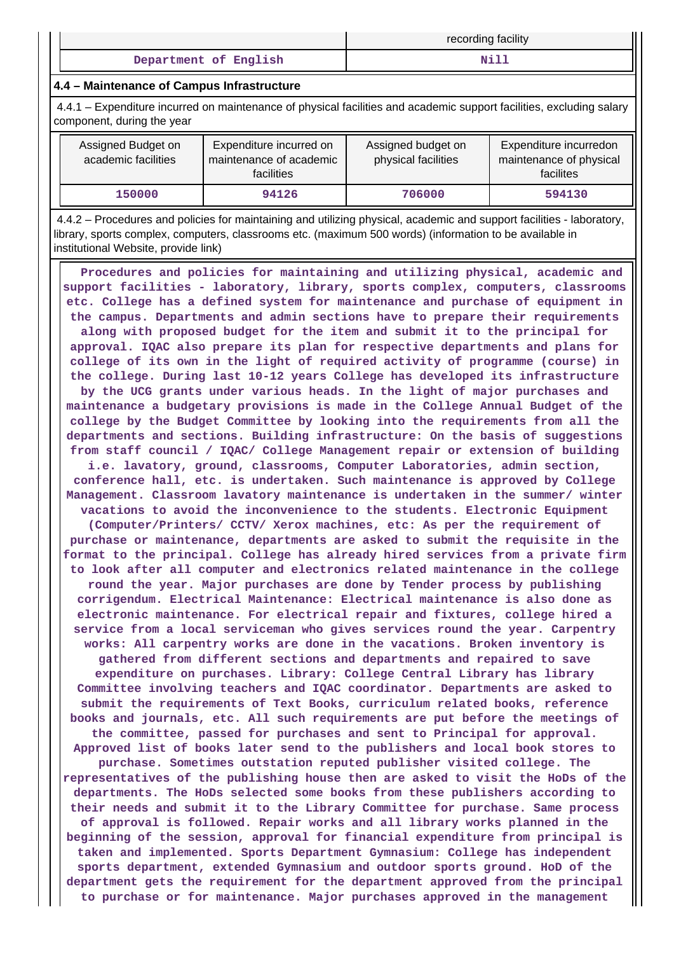|                       | recording facility |
|-----------------------|--------------------|
| Department of English | Nil                |

#### **4.4 – Maintenance of Campus Infrastructure**

 4.4.1 – Expenditure incurred on maintenance of physical facilities and academic support facilities, excluding salary component, during the year

| Assigned Budget on<br>academic facilities | Expenditure incurred on<br>maintenance of academic<br><b>facilities</b> | Assigned budget on<br>physical facilities | Expenditure incurredon<br>maintenance of physical<br>facilites |
|-------------------------------------------|-------------------------------------------------------------------------|-------------------------------------------|----------------------------------------------------------------|
| 150000                                    | 94126                                                                   | 706000                                    | 594130                                                         |

 4.4.2 – Procedures and policies for maintaining and utilizing physical, academic and support facilities - laboratory, library, sports complex, computers, classrooms etc. (maximum 500 words) (information to be available in institutional Website, provide link)

 **Procedures and policies for maintaining and utilizing physical, academic and support facilities - laboratory, library, sports complex, computers, classrooms etc. College has a defined system for maintenance and purchase of equipment in the campus. Departments and admin sections have to prepare their requirements along with proposed budget for the item and submit it to the principal for approval. IQAC also prepare its plan for respective departments and plans for college of its own in the light of required activity of programme (course) in the college. During last 10-12 years College has developed its infrastructure by the UCG grants under various heads. In the light of major purchases and maintenance a budgetary provisions is made in the College Annual Budget of the college by the Budget Committee by looking into the requirements from all the departments and sections. Building infrastructure: On the basis of suggestions from staff council / IQAC/ College Management repair or extension of building i.e. lavatory, ground, classrooms, Computer Laboratories, admin section, conference hall, etc. is undertaken. Such maintenance is approved by College Management. Classroom lavatory maintenance is undertaken in the summer/ winter vacations to avoid the inconvenience to the students. Electronic Equipment (Computer/Printers/ CCTV/ Xerox machines, etc: As per the requirement of purchase or maintenance, departments are asked to submit the requisite in the format to the principal. College has already hired services from a private firm to look after all computer and electronics related maintenance in the college round the year. Major purchases are done by Tender process by publishing corrigendum. Electrical Maintenance: Electrical maintenance is also done as electronic maintenance. For electrical repair and fixtures, college hired a service from a local serviceman who gives services round the year. Carpentry works: All carpentry works are done in the vacations. Broken inventory is gathered from different sections and departments and repaired to save expenditure on purchases. Library: College Central Library has library Committee involving teachers and IQAC coordinator. Departments are asked to submit the requirements of Text Books, curriculum related books, reference books and journals, etc. All such requirements are put before the meetings of the committee, passed for purchases and sent to Principal for approval. Approved list of books later send to the publishers and local book stores to purchase. Sometimes outstation reputed publisher visited college. The representatives of the publishing house then are asked to visit the HoDs of the departments. The HoDs selected some books from these publishers according to their needs and submit it to the Library Committee for purchase. Same process of approval is followed. Repair works and all library works planned in the beginning of the session, approval for financial expenditure from principal is taken and implemented. Sports Department Gymnasium: College has independent sports department, extended Gymnasium and outdoor sports ground. HoD of the department gets the requirement for the department approved from the principal to purchase or for maintenance. Major purchases approved in the management**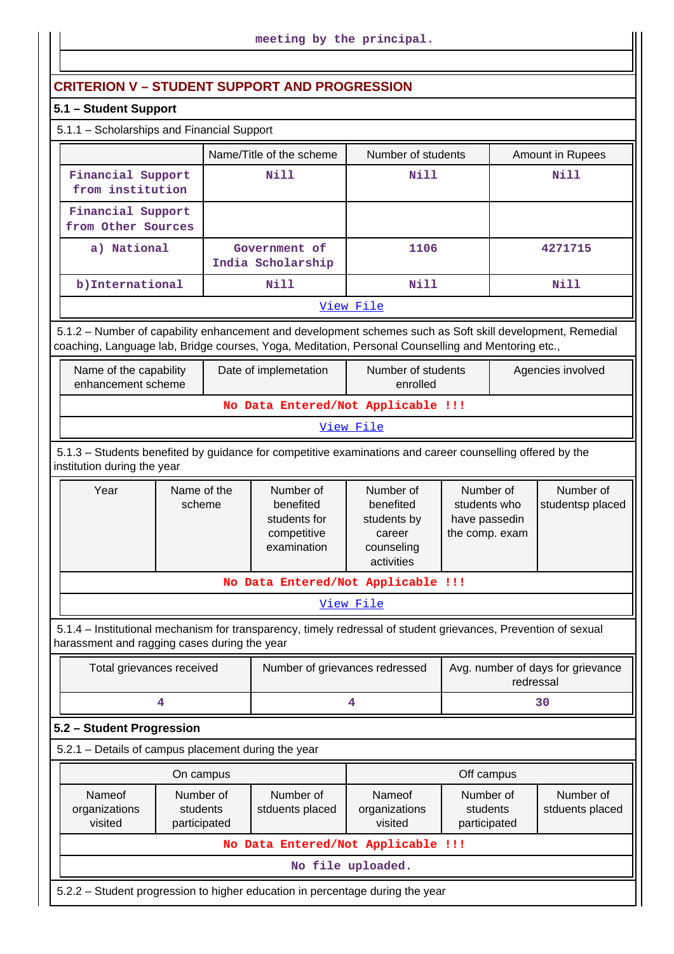# **CRITERION V – STUDENT SUPPORT AND PROGRESSION**

## **5.1 – Student Support**

| 5.1.1 - Scholarships and Financial Support |                                                |             |                  |  |  |  |
|--------------------------------------------|------------------------------------------------|-------------|------------------|--|--|--|
|                                            | Number of students<br>Name/Title of the scheme |             | Amount in Rupees |  |  |  |
| Financial Support<br>from institution      | Nill                                           | <b>Nill</b> | Nill             |  |  |  |
| Financial Support<br>from Other Sources    |                                                |             |                  |  |  |  |
| a) National                                | Government of<br>India Scholarship             | 1106        | 4271715          |  |  |  |
| b) International                           | Nill                                           | Nill        | Nill             |  |  |  |
| View File                                  |                                                |             |                  |  |  |  |

 5.1.2 – Number of capability enhancement and development schemes such as Soft skill development, Remedial coaching, Language lab, Bridge courses, Yoga, Meditation, Personal Counselling and Mentoring etc.,

| Name of the capability<br>enhancement scheme | Date of implemetation | Number of students<br>enrolled | Agencies involved |  |  |  |
|----------------------------------------------|-----------------------|--------------------------------|-------------------|--|--|--|
| No Data Entered/Not Applicable !!!           |                       |                                |                   |  |  |  |

## [View File](https://assessmentonline.naac.gov.in/public/Postacc/Development_Schemes/2444_Development_Schemes_1640929279.xlsx)

 5.1.3 – Students benefited by guidance for competitive examinations and career counselling offered by the institution during the year

| Year | Name of the<br>scheme | Number of<br>benefited<br>students for<br>competitive<br>examination | Number of<br>benefited<br>students by<br>career<br>counseling<br>activities | Number of<br>students who<br>have passedin<br>the comp. exam | Number of<br>studentsp placed |
|------|-----------------------|----------------------------------------------------------------------|-----------------------------------------------------------------------------|--------------------------------------------------------------|-------------------------------|
|------|-----------------------|----------------------------------------------------------------------|-----------------------------------------------------------------------------|--------------------------------------------------------------|-------------------------------|

## **No Data Entered/Not Applicable !!!**

## [View File](https://assessmentonline.naac.gov.in/public/Postacc/Guidance/2444_Guidance_1640929296.xlsx)

 5.1.4 – Institutional mechanism for transparency, timely redressal of student grievances, Prevention of sexual harassment and ragging cases during the year

| Total grievances received | Number of grievances redressed | Avg. number of days for grievance<br>redressal |
|---------------------------|--------------------------------|------------------------------------------------|
|                           |                                |                                                |

## **5.2 – Student Progression**

5.2.1 – Details of campus placement during the year

|                                                                               | On campus                                                             |                                    |  | Off campus                            |                              |  |
|-------------------------------------------------------------------------------|-----------------------------------------------------------------------|------------------------------------|--|---------------------------------------|------------------------------|--|
| Nameof<br>organizations<br>visited                                            | Number of<br>Number of<br>stduents placed<br>students<br>participated |                                    |  | Number of<br>students<br>participated | Number of<br>stduents placed |  |
|                                                                               |                                                                       | No Data Entered/Not Applicable !!! |  |                                       |                              |  |
| No file uploaded.                                                             |                                                                       |                                    |  |                                       |                              |  |
| 5.2.2 – Student progression to higher education in percentage during the year |                                                                       |                                    |  |                                       |                              |  |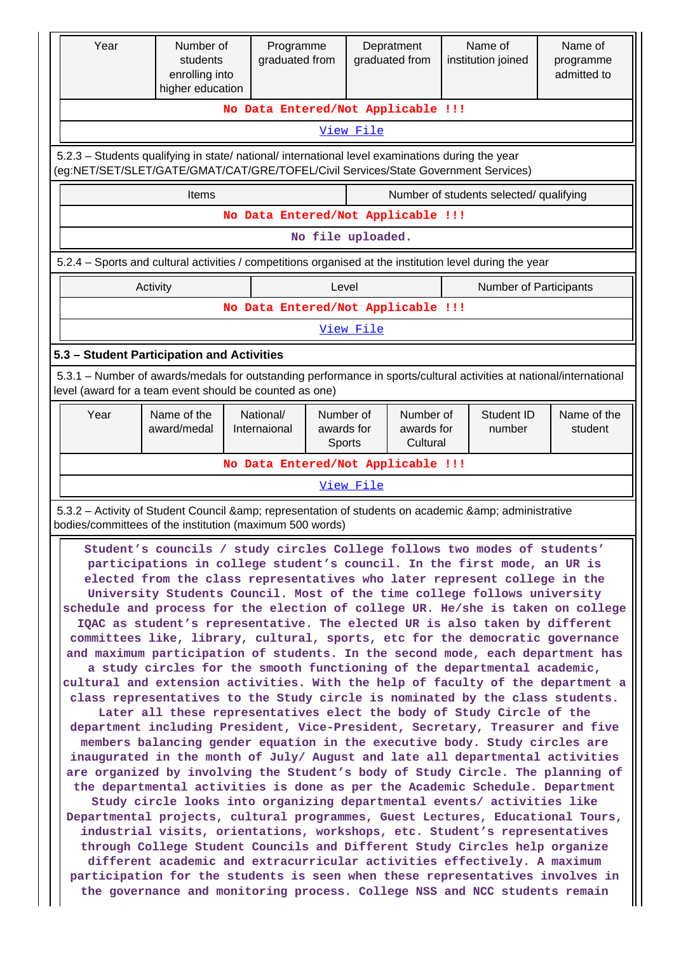| Year                                                                                                                                                                                                                                                                                                                                                                                                                                                                                                                                                                                                                                                                                                                                                                                                                                                                                                                                                                                                                                                                                                                                                                                                                                                                                                                                                                                                                                                                                                                                                                                                                                                                                                                                                                                                                                                                                                                                                                                                                                              | Number of<br>students<br>enrolling into<br>higher education | Programme<br>graduated from             | Depratment<br>graduated from                               | Name of<br>institution joined           | Name of<br>programme<br>admitted to |  |
|---------------------------------------------------------------------------------------------------------------------------------------------------------------------------------------------------------------------------------------------------------------------------------------------------------------------------------------------------------------------------------------------------------------------------------------------------------------------------------------------------------------------------------------------------------------------------------------------------------------------------------------------------------------------------------------------------------------------------------------------------------------------------------------------------------------------------------------------------------------------------------------------------------------------------------------------------------------------------------------------------------------------------------------------------------------------------------------------------------------------------------------------------------------------------------------------------------------------------------------------------------------------------------------------------------------------------------------------------------------------------------------------------------------------------------------------------------------------------------------------------------------------------------------------------------------------------------------------------------------------------------------------------------------------------------------------------------------------------------------------------------------------------------------------------------------------------------------------------------------------------------------------------------------------------------------------------------------------------------------------------------------------------------------------------|-------------------------------------------------------------|-----------------------------------------|------------------------------------------------------------|-----------------------------------------|-------------------------------------|--|
|                                                                                                                                                                                                                                                                                                                                                                                                                                                                                                                                                                                                                                                                                                                                                                                                                                                                                                                                                                                                                                                                                                                                                                                                                                                                                                                                                                                                                                                                                                                                                                                                                                                                                                                                                                                                                                                                                                                                                                                                                                                   |                                                             |                                         | No Data Entered/Not Applicable !!!                         |                                         |                                     |  |
|                                                                                                                                                                                                                                                                                                                                                                                                                                                                                                                                                                                                                                                                                                                                                                                                                                                                                                                                                                                                                                                                                                                                                                                                                                                                                                                                                                                                                                                                                                                                                                                                                                                                                                                                                                                                                                                                                                                                                                                                                                                   |                                                             |                                         | View File                                                  |                                         |                                     |  |
| 5.2.3 - Students qualifying in state/ national/ international level examinations during the year<br>(eg:NET/SET/SLET/GATE/GMAT/CAT/GRE/TOFEL/Civil Services/State Government Services)                                                                                                                                                                                                                                                                                                                                                                                                                                                                                                                                                                                                                                                                                                                                                                                                                                                                                                                                                                                                                                                                                                                                                                                                                                                                                                                                                                                                                                                                                                                                                                                                                                                                                                                                                                                                                                                            |                                                             |                                         |                                                            |                                         |                                     |  |
|                                                                                                                                                                                                                                                                                                                                                                                                                                                                                                                                                                                                                                                                                                                                                                                                                                                                                                                                                                                                                                                                                                                                                                                                                                                                                                                                                                                                                                                                                                                                                                                                                                                                                                                                                                                                                                                                                                                                                                                                                                                   | <b>Items</b>                                                |                                         |                                                            | Number of students selected/ qualifying |                                     |  |
|                                                                                                                                                                                                                                                                                                                                                                                                                                                                                                                                                                                                                                                                                                                                                                                                                                                                                                                                                                                                                                                                                                                                                                                                                                                                                                                                                                                                                                                                                                                                                                                                                                                                                                                                                                                                                                                                                                                                                                                                                                                   |                                                             |                                         | No Data Entered/Not Applicable !!!                         |                                         |                                     |  |
|                                                                                                                                                                                                                                                                                                                                                                                                                                                                                                                                                                                                                                                                                                                                                                                                                                                                                                                                                                                                                                                                                                                                                                                                                                                                                                                                                                                                                                                                                                                                                                                                                                                                                                                                                                                                                                                                                                                                                                                                                                                   |                                                             |                                         | No file uploaded.                                          |                                         |                                     |  |
| 5.2.4 - Sports and cultural activities / competitions organised at the institution level during the year                                                                                                                                                                                                                                                                                                                                                                                                                                                                                                                                                                                                                                                                                                                                                                                                                                                                                                                                                                                                                                                                                                                                                                                                                                                                                                                                                                                                                                                                                                                                                                                                                                                                                                                                                                                                                                                                                                                                          |                                                             |                                         |                                                            |                                         |                                     |  |
|                                                                                                                                                                                                                                                                                                                                                                                                                                                                                                                                                                                                                                                                                                                                                                                                                                                                                                                                                                                                                                                                                                                                                                                                                                                                                                                                                                                                                                                                                                                                                                                                                                                                                                                                                                                                                                                                                                                                                                                                                                                   | Activity                                                    |                                         | Level<br>No Data Entered/Not Applicable !!!                | <b>Number of Participants</b>           |                                     |  |
|                                                                                                                                                                                                                                                                                                                                                                                                                                                                                                                                                                                                                                                                                                                                                                                                                                                                                                                                                                                                                                                                                                                                                                                                                                                                                                                                                                                                                                                                                                                                                                                                                                                                                                                                                                                                                                                                                                                                                                                                                                                   |                                                             |                                         | View File                                                  |                                         |                                     |  |
| 5.3 - Student Participation and Activities                                                                                                                                                                                                                                                                                                                                                                                                                                                                                                                                                                                                                                                                                                                                                                                                                                                                                                                                                                                                                                                                                                                                                                                                                                                                                                                                                                                                                                                                                                                                                                                                                                                                                                                                                                                                                                                                                                                                                                                                        |                                                             |                                         |                                                            |                                         |                                     |  |
| 5.3.1 – Number of awards/medals for outstanding performance in sports/cultural activities at national/international                                                                                                                                                                                                                                                                                                                                                                                                                                                                                                                                                                                                                                                                                                                                                                                                                                                                                                                                                                                                                                                                                                                                                                                                                                                                                                                                                                                                                                                                                                                                                                                                                                                                                                                                                                                                                                                                                                                               |                                                             |                                         |                                                            |                                         |                                     |  |
| level (award for a team event should be counted as one)                                                                                                                                                                                                                                                                                                                                                                                                                                                                                                                                                                                                                                                                                                                                                                                                                                                                                                                                                                                                                                                                                                                                                                                                                                                                                                                                                                                                                                                                                                                                                                                                                                                                                                                                                                                                                                                                                                                                                                                           |                                                             |                                         |                                                            |                                         |                                     |  |
| Year                                                                                                                                                                                                                                                                                                                                                                                                                                                                                                                                                                                                                                                                                                                                                                                                                                                                                                                                                                                                                                                                                                                                                                                                                                                                                                                                                                                                                                                                                                                                                                                                                                                                                                                                                                                                                                                                                                                                                                                                                                              | Name of the<br>award/medal                                  | National/<br>awards for<br>Internaional | Number of<br>Number of<br>awards for<br>Cultural<br>Sports | Student ID<br>number                    | Name of the<br>student              |  |
|                                                                                                                                                                                                                                                                                                                                                                                                                                                                                                                                                                                                                                                                                                                                                                                                                                                                                                                                                                                                                                                                                                                                                                                                                                                                                                                                                                                                                                                                                                                                                                                                                                                                                                                                                                                                                                                                                                                                                                                                                                                   |                                                             |                                         | No Data Entered/Not Applicable !!!                         |                                         |                                     |  |
|                                                                                                                                                                                                                                                                                                                                                                                                                                                                                                                                                                                                                                                                                                                                                                                                                                                                                                                                                                                                                                                                                                                                                                                                                                                                                                                                                                                                                                                                                                                                                                                                                                                                                                                                                                                                                                                                                                                                                                                                                                                   |                                                             |                                         | View File                                                  |                                         |                                     |  |
|                                                                                                                                                                                                                                                                                                                                                                                                                                                                                                                                                                                                                                                                                                                                                                                                                                                                                                                                                                                                                                                                                                                                                                                                                                                                                                                                                                                                                                                                                                                                                                                                                                                                                                                                                                                                                                                                                                                                                                                                                                                   |                                                             |                                         |                                                            |                                         |                                     |  |
| 5.3.2 - Activity of Student Council & representation of students on academic & administrative<br>bodies/committees of the institution (maximum 500 words)<br>Student's councils / study circles College follows two modes of students'<br>participations in college student's council. In the first mode, an UR is<br>elected from the class representatives who later represent college in the<br>University Students Council. Most of the time college follows university<br>schedule and process for the election of college UR. He/she is taken on college<br>IQAC as student's representative. The elected UR is also taken by different<br>committees like, library, cultural, sports, etc for the democratic governance<br>and maximum participation of students. In the second mode, each department has<br>a study circles for the smooth functioning of the departmental academic,<br>cultural and extension activities. With the help of faculty of the department a<br>class representatives to the Study circle is nominated by the class students.<br>Later all these representatives elect the body of Study Circle of the<br>department including President, Vice-President, Secretary, Treasurer and five<br>members balancing gender equation in the executive body. Study circles are<br>inaugurated in the month of July/ August and late all departmental activities<br>are organized by involving the Student's body of Study Circle. The planning of<br>the departmental activities is done as per the Academic Schedule. Department<br>Study circle looks into organizing departmental events/ activities like<br>Departmental projects, cultural programmes, Guest Lectures, Educational Tours,<br>industrial visits, orientations, workshops, etc. Student's representatives<br>through College Student Councils and Different Study Circles help organize<br>different academic and extracurricular activities effectively. A maximum<br>participation for the students is seen when these representatives involves in |                                                             |                                         |                                                            |                                         |                                     |  |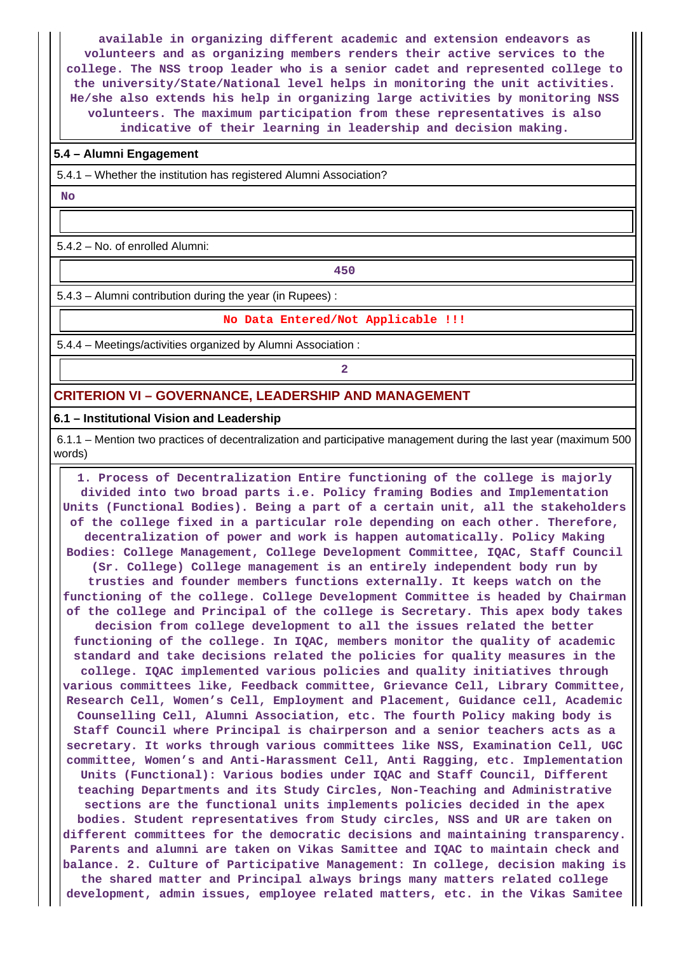**available in organizing different academic and extension endeavors as volunteers and as organizing members renders their active services to the college. The NSS troop leader who is a senior cadet and represented college to the university/State/National level helps in monitoring the unit activities. He/she also extends his help in organizing large activities by monitoring NSS volunteers. The maximum participation from these representatives is also indicative of their learning in leadership and decision making.**

#### **5.4 – Alumni Engagement**

5.4.1 – Whether the institution has registered Alumni Association?

 **No**

5.4.2 – No. of enrolled Alumni:

**450**

5.4.3 – Alumni contribution during the year (in Rupees) :

#### **No Data Entered/Not Applicable !!!**

5.4.4 – Meetings/activities organized by Alumni Association :

**2**

## **CRITERION VI – GOVERNANCE, LEADERSHIP AND MANAGEMENT**

#### **6.1 – Institutional Vision and Leadership**

 6.1.1 – Mention two practices of decentralization and participative management during the last year (maximum 500 words)

 **1. Process of Decentralization Entire functioning of the college is majorly divided into two broad parts i.e. Policy framing Bodies and Implementation Units (Functional Bodies). Being a part of a certain unit, all the stakeholders of the college fixed in a particular role depending on each other. Therefore, decentralization of power and work is happen automatically. Policy Making Bodies: College Management, College Development Committee, IQAC, Staff Council (Sr. College) College management is an entirely independent body run by trusties and founder members functions externally. It keeps watch on the functioning of the college. College Development Committee is headed by Chairman of the college and Principal of the college is Secretary. This apex body takes decision from college development to all the issues related the better functioning of the college. In IQAC, members monitor the quality of academic standard and take decisions related the policies for quality measures in the college. IQAC implemented various policies and quality initiatives through various committees like, Feedback committee, Grievance Cell, Library Committee, Research Cell, Women's Cell, Employment and Placement, Guidance cell, Academic Counselling Cell, Alumni Association, etc. The fourth Policy making body is Staff Council where Principal is chairperson and a senior teachers acts as a secretary. It works through various committees like NSS, Examination Cell, UGC committee, Women's and Anti-Harassment Cell, Anti Ragging, etc. Implementation Units (Functional): Various bodies under IQAC and Staff Council, Different teaching Departments and its Study Circles, Non-Teaching and Administrative sections are the functional units implements policies decided in the apex bodies. Student representatives from Study circles, NSS and UR are taken on different committees for the democratic decisions and maintaining transparency. Parents and alumni are taken on Vikas Samittee and IQAC to maintain check and balance. 2. Culture of Participative Management: In college, decision making is the shared matter and Principal always brings many matters related college development, admin issues, employee related matters, etc. in the Vikas Samitee**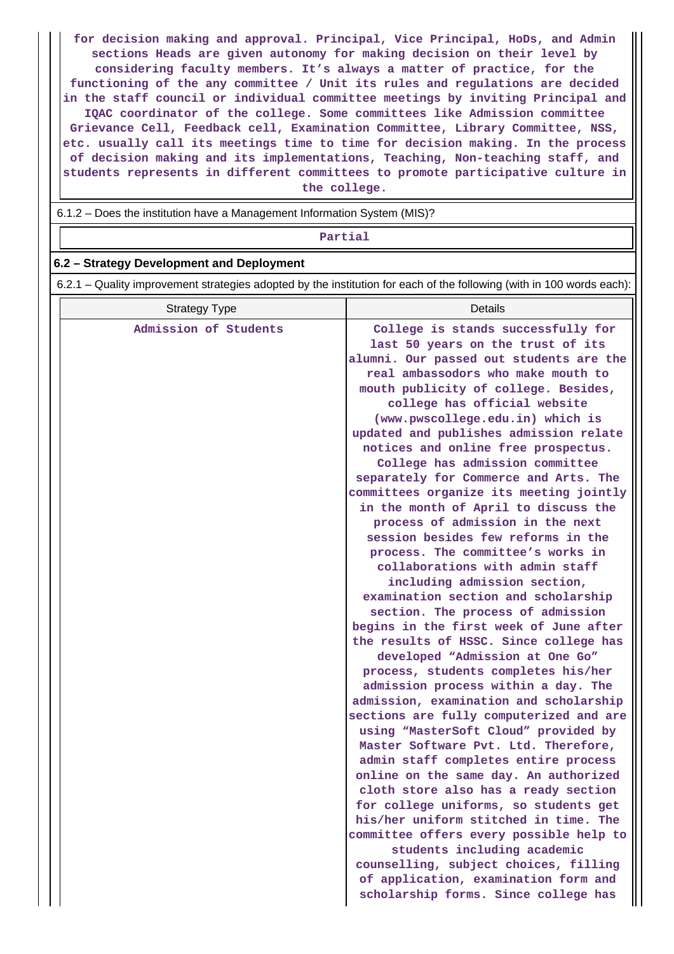**for decision making and approval. Principal, Vice Principal, HoDs, and Admin sections Heads are given autonomy for making decision on their level by considering faculty members. It's always a matter of practice, for the functioning of the any committee / Unit its rules and regulations are decided in the staff council or individual committee meetings by inviting Principal and IQAC coordinator of the college. Some committees like Admission committee Grievance Cell, Feedback cell, Examination Committee, Library Committee, NSS, etc. usually call its meetings time to time for decision making. In the process of decision making and its implementations, Teaching, Non-teaching staff, and students represents in different committees to promote participative culture in the college.**

6.1.2 – Does the institution have a Management Information System (MIS)?

**Partial**

### **6.2 – Strategy Development and Deployment**

6.2.1 – Quality improvement strategies adopted by the institution for each of the following (with in 100 words each):

| <b>Strategy Type</b>  | Details                                                                                                                                                                                                                                                                                                                                                                                                                                                                                                                                                                                                                                                                                                                                                                                                                                                                                                                                                                                                                                                                                                                                                                                                                                                                                                                        |
|-----------------------|--------------------------------------------------------------------------------------------------------------------------------------------------------------------------------------------------------------------------------------------------------------------------------------------------------------------------------------------------------------------------------------------------------------------------------------------------------------------------------------------------------------------------------------------------------------------------------------------------------------------------------------------------------------------------------------------------------------------------------------------------------------------------------------------------------------------------------------------------------------------------------------------------------------------------------------------------------------------------------------------------------------------------------------------------------------------------------------------------------------------------------------------------------------------------------------------------------------------------------------------------------------------------------------------------------------------------------|
| Admission of Students | College is stands successfully for<br>last 50 years on the trust of its<br>alumni. Our passed out students are the<br>real ambassodors who make mouth to<br>mouth publicity of college. Besides,<br>college has official website<br>(www.pwscollege.edu.in) which is<br>updated and publishes admission relate<br>notices and online free prospectus.<br>College has admission committee<br>separately for Commerce and Arts. The<br>committees organize its meeting jointly<br>in the month of April to discuss the<br>process of admission in the next<br>session besides few reforms in the<br>process. The committee's works in<br>collaborations with admin staff<br>including admission section,<br>examination section and scholarship<br>section. The process of admission<br>begins in the first week of June after<br>the results of HSSC. Since college has<br>developed "Admission at One Go"<br>process, students completes his/her<br>admission process within a day. The<br>admission, examination and scholarship<br>sections are fully computerized and are<br>using "MasterSoft Cloud" provided by<br>Master Software Pvt. Ltd. Therefore,<br>admin staff completes entire process<br>online on the same day. An authorized<br>cloth store also has a ready section<br>for college uniforms, so students get |
|                       | his/her uniform stitched in time. The<br>committee offers every possible help to<br>students including academic<br>counselling, subject choices, filling<br>of application, examination form and<br>scholarship forms. Since college has                                                                                                                                                                                                                                                                                                                                                                                                                                                                                                                                                                                                                                                                                                                                                                                                                                                                                                                                                                                                                                                                                       |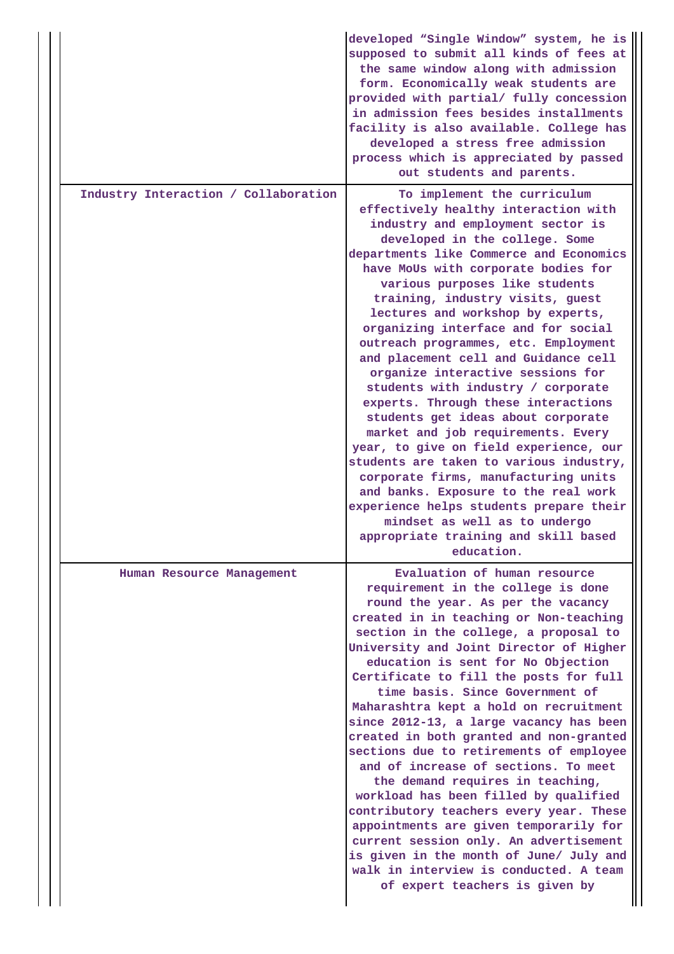|                                      | developed "Single Window" system, he is<br>supposed to submit all kinds of fees at<br>the same window along with admission<br>form. Economically weak students are<br>provided with partial/ fully concession<br>in admission fees besides installments<br>facility is also available. College has<br>developed a stress free admission<br>process which is appreciated by passed<br>out students and parents.                                                                                                                                                                                                                                                                                                                                                                                                                                                                                                                                                      |
|--------------------------------------|---------------------------------------------------------------------------------------------------------------------------------------------------------------------------------------------------------------------------------------------------------------------------------------------------------------------------------------------------------------------------------------------------------------------------------------------------------------------------------------------------------------------------------------------------------------------------------------------------------------------------------------------------------------------------------------------------------------------------------------------------------------------------------------------------------------------------------------------------------------------------------------------------------------------------------------------------------------------|
| Industry Interaction / Collaboration | To implement the curriculum<br>effectively healthy interaction with<br>industry and employment sector is<br>developed in the college. Some<br>departments like Commerce and Economics<br>have MoUs with corporate bodies for<br>various purposes like students<br>training, industry visits, guest<br>lectures and workshop by experts,<br>organizing interface and for social<br>outreach programmes, etc. Employment<br>and placement cell and Guidance cell<br>organize interactive sessions for<br>students with industry / corporate<br>experts. Through these interactions<br>students get ideas about corporate<br>market and job requirements. Every<br>year, to give on field experience, our<br>students are taken to various industry,<br>corporate firms, manufacturing units<br>and banks. Exposure to the real work<br>experience helps students prepare their<br>mindset as well as to undergo<br>appropriate training and skill based<br>education. |
| Human Resource Management            | Evaluation of human resource<br>requirement in the college is done<br>round the year. As per the vacancy<br>created in in teaching or Non-teaching<br>section in the college, a proposal to<br>University and Joint Director of Higher<br>education is sent for No Objection<br>Certificate to fill the posts for full<br>time basis. Since Government of<br>Maharashtra kept a hold on recruitment<br>since 2012-13, a large vacancy has been<br>created in both granted and non-granted<br>sections due to retirements of employee<br>and of increase of sections. To meet<br>the demand requires in teaching,<br>workload has been filled by qualified<br>contributory teachers every year. These<br>appointments are given temporarily for<br>current session only. An advertisement<br>is given in the month of June/ July and<br>walk in interview is conducted. A team<br>of expert teachers is given by                                                     |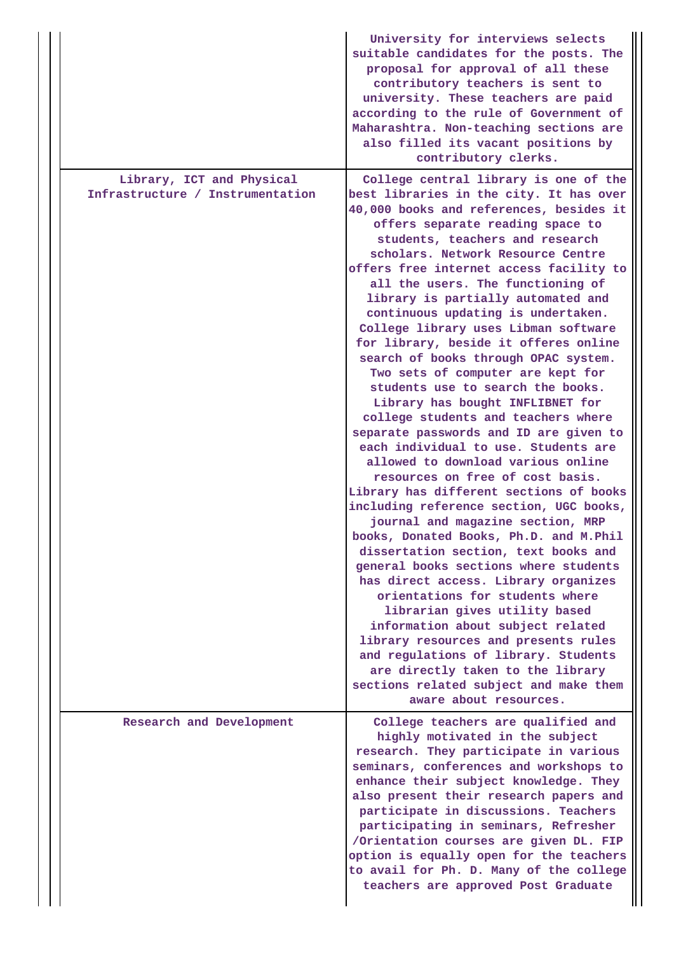|                                                               | University for interviews selects<br>suitable candidates for the posts. The<br>proposal for approval of all these<br>contributory teachers is sent to<br>university. These teachers are paid<br>according to the rule of Government of<br>Maharashtra. Non-teaching sections are<br>also filled its vacant positions by<br>contributory clerks.                                                                                                                                                                                                                                                                                                                                                                                                                                                                                                                                                                                                                                                                                                                                                                                                                                                                                                                                                                                                                                                                                               |
|---------------------------------------------------------------|-----------------------------------------------------------------------------------------------------------------------------------------------------------------------------------------------------------------------------------------------------------------------------------------------------------------------------------------------------------------------------------------------------------------------------------------------------------------------------------------------------------------------------------------------------------------------------------------------------------------------------------------------------------------------------------------------------------------------------------------------------------------------------------------------------------------------------------------------------------------------------------------------------------------------------------------------------------------------------------------------------------------------------------------------------------------------------------------------------------------------------------------------------------------------------------------------------------------------------------------------------------------------------------------------------------------------------------------------------------------------------------------------------------------------------------------------|
| Library, ICT and Physical<br>Infrastructure / Instrumentation | College central library is one of the<br>best libraries in the city. It has over<br>40,000 books and references, besides it<br>offers separate reading space to<br>students, teachers and research<br>scholars. Network Resource Centre<br>offers free internet access facility to<br>all the users. The functioning of<br>library is partially automated and<br>continuous updating is undertaken.<br>College library uses Libman software<br>for library, beside it offeres online<br>search of books through OPAC system.<br>Two sets of computer are kept for<br>students use to search the books.<br>Library has bought INFLIBNET for<br>college students and teachers where<br>separate passwords and ID are given to<br>each individual to use. Students are<br>allowed to download various online<br>resources on free of cost basis.<br>Library has different sections of books<br>including reference section, UGC books,<br>journal and magazine section, MRP<br>books, Donated Books, Ph.D. and M.Phil<br>dissertation section, text books and<br>general books sections where students<br>has direct access. Library organizes<br>orientations for students where<br>librarian gives utility based<br>information about subject related<br>library resources and presents rules<br>and regulations of library. Students<br>are directly taken to the library<br>sections related subject and make them<br>aware about resources. |
| Research and Development                                      | College teachers are qualified and<br>highly motivated in the subject<br>research. They participate in various<br>seminars, conferences and workshops to<br>enhance their subject knowledge. They<br>also present their research papers and<br>participate in discussions. Teachers<br>participating in seminars, Refresher<br>/Orientation courses are given DL. FIP<br>option is equally open for the teachers<br>to avail for Ph. D. Many of the college<br>teachers are approved Post Graduate                                                                                                                                                                                                                                                                                                                                                                                                                                                                                                                                                                                                                                                                                                                                                                                                                                                                                                                                            |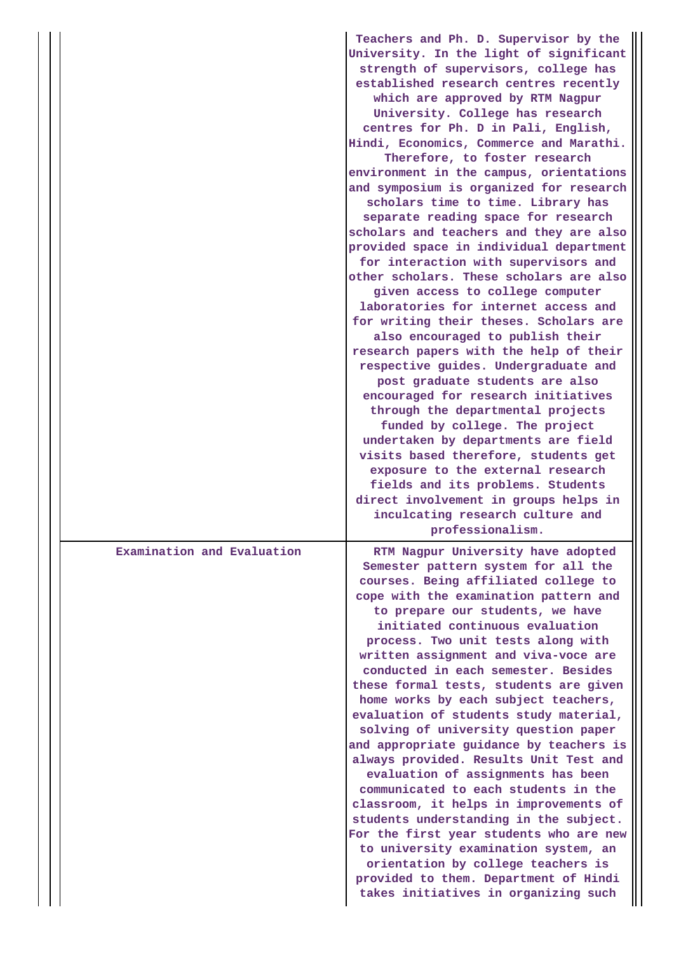|                            | Teachers and Ph. D. Supervisor by the<br>University. In the light of significant<br>strength of supervisors, college has<br>established research centres recently<br>which are approved by RTM Nagpur<br>University. College has research<br>centres for Ph. D in Pali, English,<br>Hindi, Economics, Commerce and Marathi.<br>Therefore, to foster research<br>environment in the campus, orientations<br>and symposium is organized for research<br>scholars time to time. Library has<br>separate reading space for research<br>scholars and teachers and they are also<br>provided space in individual department<br>for interaction with supervisors and<br>other scholars. These scholars are also<br>given access to college computer<br>laboratories for internet access and<br>for writing their theses. Scholars are<br>also encouraged to publish their<br>research papers with the help of their<br>respective guides. Undergraduate and<br>post graduate students are also<br>encouraged for research initiatives<br>through the departmental projects<br>funded by college. The project<br>undertaken by departments are field<br>visits based therefore, students get<br>exposure to the external research<br>fields and its problems. Students<br>direct involvement in groups helps in<br>inculcating research culture and |
|----------------------------|---------------------------------------------------------------------------------------------------------------------------------------------------------------------------------------------------------------------------------------------------------------------------------------------------------------------------------------------------------------------------------------------------------------------------------------------------------------------------------------------------------------------------------------------------------------------------------------------------------------------------------------------------------------------------------------------------------------------------------------------------------------------------------------------------------------------------------------------------------------------------------------------------------------------------------------------------------------------------------------------------------------------------------------------------------------------------------------------------------------------------------------------------------------------------------------------------------------------------------------------------------------------------------------------------------------------------------------------|
| Examination and Evaluation | professionalism.<br>RTM Nagpur University have adopted<br>Semester pattern system for all the<br>courses. Being affiliated college to<br>cope with the examination pattern and<br>to prepare our students, we have<br>initiated continuous evaluation<br>process. Two unit tests along with<br>written assignment and viva-voce are<br>conducted in each semester. Besides<br>these formal tests, students are given<br>home works by each subject teachers,<br>evaluation of students study material,<br>solving of university question paper<br>and appropriate guidance by teachers is<br>always provided. Results Unit Test and<br>evaluation of assignments has been<br>communicated to each students in the<br>classroom, it helps in improvements of<br>students understanding in the subject.<br>For the first year students who are new<br>to university examination system, an<br>orientation by college teachers is<br>provided to them. Department of Hindi<br>takes initiatives in organizing such                                                                                                                                                                                                                                                                                                                             |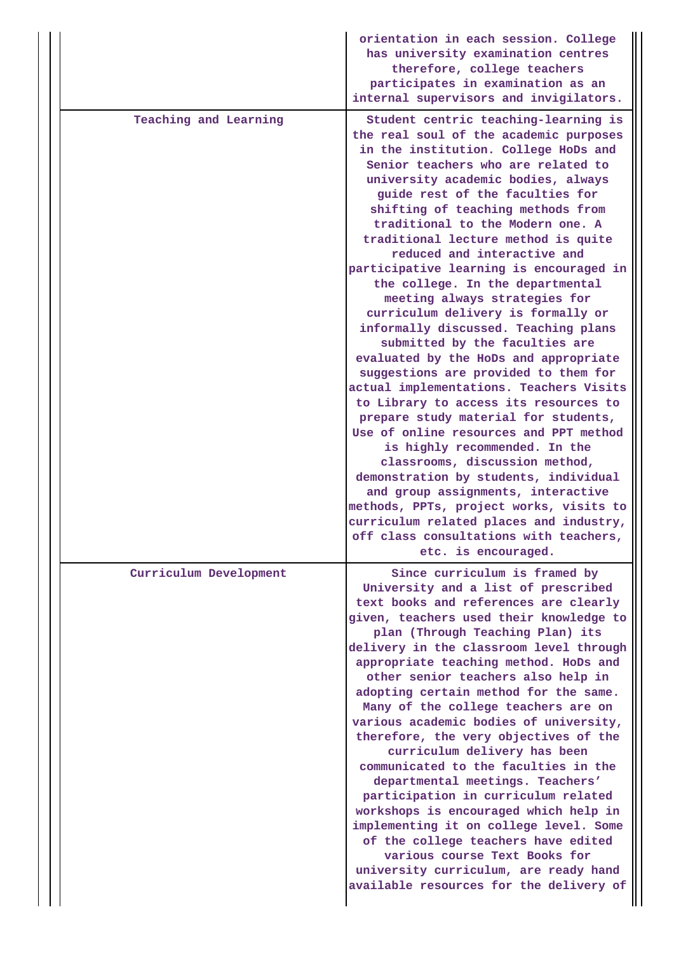|                        | orientation in each session. College<br>has university examination centres<br>therefore, college teachers<br>participates in examination as an<br>internal supervisors and invigilators.                                                                                                                                                                                                                                                                                                                                                                                                                                                                                                                                                                                                                                                                                                                                                                                                                                                                                                                                                                      |
|------------------------|---------------------------------------------------------------------------------------------------------------------------------------------------------------------------------------------------------------------------------------------------------------------------------------------------------------------------------------------------------------------------------------------------------------------------------------------------------------------------------------------------------------------------------------------------------------------------------------------------------------------------------------------------------------------------------------------------------------------------------------------------------------------------------------------------------------------------------------------------------------------------------------------------------------------------------------------------------------------------------------------------------------------------------------------------------------------------------------------------------------------------------------------------------------|
| Teaching and Learning  | Student centric teaching-learning is<br>the real soul of the academic purposes<br>in the institution. College HoDs and<br>Senior teachers who are related to<br>university academic bodies, always<br>guide rest of the faculties for<br>shifting of teaching methods from<br>traditional to the Modern one. A<br>traditional lecture method is quite<br>reduced and interactive and<br>participative learning is encouraged in<br>the college. In the departmental<br>meeting always strategies for<br>curriculum delivery is formally or<br>informally discussed. Teaching plans<br>submitted by the faculties are<br>evaluated by the HoDs and appropriate<br>suggestions are provided to them for<br>actual implementations. Teachers Visits<br>to Library to access its resources to<br>prepare study material for students,<br>Use of online resources and PPT method<br>is highly recommended. In the<br>classrooms, discussion method,<br>demonstration by students, individual<br>and group assignments, interactive<br>methods, PPTs, project works, visits to<br>curriculum related places and industry,<br>off class consultations with teachers, |
|                        | etc. is encouraged.                                                                                                                                                                                                                                                                                                                                                                                                                                                                                                                                                                                                                                                                                                                                                                                                                                                                                                                                                                                                                                                                                                                                           |
| Curriculum Development | Since curriculum is framed by<br>University and a list of prescribed<br>text books and references are clearly<br>given, teachers used their knowledge to<br>plan (Through Teaching Plan) its<br>delivery in the classroom level through<br>appropriate teaching method. HoDs and<br>other senior teachers also help in<br>adopting certain method for the same.<br>Many of the college teachers are on<br>various academic bodies of university,<br>therefore, the very objectives of the<br>curriculum delivery has been<br>communicated to the faculties in the<br>departmental meetings. Teachers'<br>participation in curriculum related<br>workshops is encouraged which help in<br>implementing it on college level. Some<br>of the college teachers have edited<br>various course Text Books for<br>university curriculum, are ready hand<br>available resources for the delivery of                                                                                                                                                                                                                                                                   |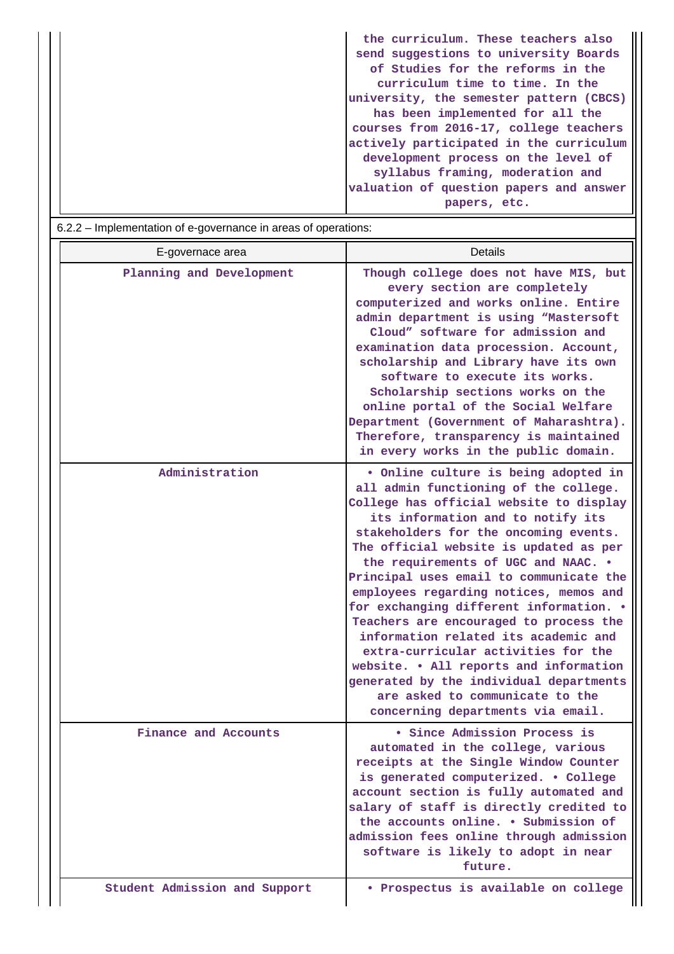| the curriculum. These teachers also     |
|-----------------------------------------|
| send suggestions to university Boards   |
| of Studies for the reforms in the       |
| curriculum time to time. In the         |
| university, the semester pattern (CBCS) |
| has been implemented for all the        |
| courses from 2016-17, college teachers  |
| actively participated in the curriculum |
| development process on the level of     |
| syllabus framing, moderation and        |
| valuation of question papers and answer |
| papers, etc.                            |
|                                         |

| E-governace area         | Details                                                                                                                                                                                                                                                                                                                                                                                                                                                                                                                                                                                                                                                                                                       |
|--------------------------|---------------------------------------------------------------------------------------------------------------------------------------------------------------------------------------------------------------------------------------------------------------------------------------------------------------------------------------------------------------------------------------------------------------------------------------------------------------------------------------------------------------------------------------------------------------------------------------------------------------------------------------------------------------------------------------------------------------|
| Planning and Development | Though college does not have MIS, but<br>every section are completely<br>computerized and works online. Entire<br>admin department is using "Mastersoft<br>Cloud" software for admission and<br>examination data procession. Account,<br>scholarship and Library have its own<br>software to execute its works.<br>Scholarship sections works on the<br>online portal of the Social Welfare<br>Department (Government of Maharashtra).<br>Therefore, transparency is maintained<br>in every works in the public domain.                                                                                                                                                                                       |
| Administration           | . Online culture is being adopted in<br>all admin functioning of the college.<br>College has official website to display<br>its information and to notify its<br>stakeholders for the oncoming events.<br>The official website is updated as per<br>the requirements of UGC and NAAC. .<br>Principal uses email to communicate the<br>employees regarding notices, memos and<br>for exchanging different information. .<br>Teachers are encouraged to process the<br>information related its academic and<br>extra-curricular activities for the<br>website. . All reports and information<br>generated by the individual departments<br>are asked to communicate to the<br>concerning departments via email. |
| Finance and Accounts     | Since Admission Process is<br>automated in the college, various<br>receipts at the Single Window Counter<br>is generated computerized. . College<br>account section is fully automated and<br>salary of staff is directly credited to<br>the accounts online. . Submission of<br>admission fees online through admission                                                                                                                                                                                                                                                                                                                                                                                      |
|                          | software is likely to adopt in near<br>future.                                                                                                                                                                                                                                                                                                                                                                                                                                                                                                                                                                                                                                                                |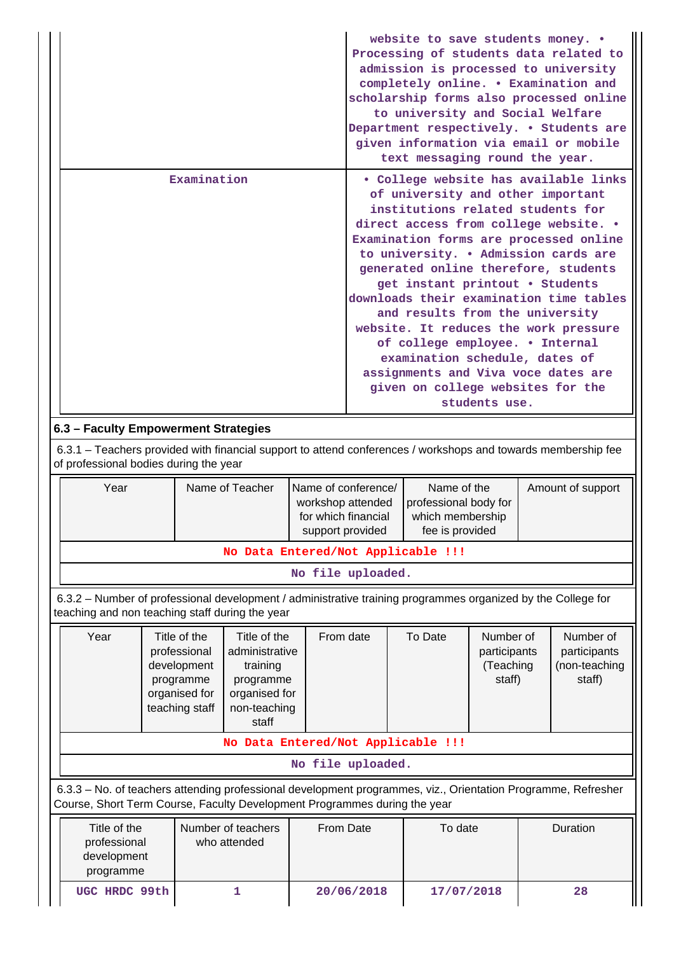|                                                                                                                                                                                            |  |                            |                                    |                                         |                                                         | website to save students money. .                                      |               |              | Processing of students data related to  |
|--------------------------------------------------------------------------------------------------------------------------------------------------------------------------------------------|--|----------------------------|------------------------------------|-----------------------------------------|---------------------------------------------------------|------------------------------------------------------------------------|---------------|--------------|-----------------------------------------|
|                                                                                                                                                                                            |  |                            |                                    |                                         |                                                         |                                                                        |               |              | admission is processed to university    |
|                                                                                                                                                                                            |  |                            |                                    |                                         |                                                         |                                                                        |               |              | completely online. . Examination and    |
|                                                                                                                                                                                            |  |                            |                                    |                                         |                                                         |                                                                        |               |              | scholarship forms also processed online |
|                                                                                                                                                                                            |  |                            |                                    |                                         |                                                         | to university and Social Welfare                                       |               |              |                                         |
|                                                                                                                                                                                            |  |                            |                                    |                                         |                                                         |                                                                        |               |              | Department respectively. . Students are |
|                                                                                                                                                                                            |  |                            |                                    |                                         |                                                         | text messaging round the year.                                         |               |              | given information via email or mobile   |
|                                                                                                                                                                                            |  |                            |                                    |                                         |                                                         |                                                                        |               |              |                                         |
|                                                                                                                                                                                            |  | Examination                |                                    |                                         |                                                         |                                                                        |               |              | · College website has available links   |
|                                                                                                                                                                                            |  |                            |                                    |                                         |                                                         | of university and other important<br>institutions related students for |               |              |                                         |
|                                                                                                                                                                                            |  |                            |                                    |                                         |                                                         |                                                                        |               |              | direct access from college website. .   |
|                                                                                                                                                                                            |  |                            |                                    |                                         |                                                         |                                                                        |               |              | Examination forms are processed online  |
|                                                                                                                                                                                            |  |                            |                                    |                                         |                                                         |                                                                        |               |              | to university. . Admission cards are    |
|                                                                                                                                                                                            |  |                            |                                    |                                         |                                                         | generated online therefore, students                                   |               |              |                                         |
|                                                                                                                                                                                            |  |                            |                                    |                                         |                                                         | get instant printout . Students                                        |               |              |                                         |
|                                                                                                                                                                                            |  |                            |                                    |                                         |                                                         | and results from the university                                        |               |              | downloads their examination time tables |
|                                                                                                                                                                                            |  |                            |                                    |                                         |                                                         |                                                                        |               |              | website. It reduces the work pressure   |
|                                                                                                                                                                                            |  |                            |                                    |                                         |                                                         | of college employee. . Internal                                        |               |              |                                         |
|                                                                                                                                                                                            |  |                            |                                    |                                         |                                                         | examination schedule, dates of                                         |               |              |                                         |
|                                                                                                                                                                                            |  |                            |                                    |                                         |                                                         | assignments and Viva voce dates are                                    |               |              |                                         |
|                                                                                                                                                                                            |  |                            |                                    |                                         |                                                         | given on college websites for the                                      | students use. |              |                                         |
|                                                                                                                                                                                            |  |                            |                                    |                                         |                                                         |                                                                        |               |              |                                         |
| 6.3 - Faculty Empowerment Strategies                                                                                                                                                       |  |                            |                                    |                                         |                                                         |                                                                        |               |              |                                         |
| 6.3.1 - Teachers provided with financial support to attend conferences / workshops and towards membership fee                                                                              |  |                            |                                    |                                         |                                                         |                                                                        |               |              |                                         |
| of professional bodies during the year                                                                                                                                                     |  |                            |                                    |                                         |                                                         |                                                                        |               |              |                                         |
| Year                                                                                                                                                                                       |  |                            | Name of Teacher                    |                                         | Name of conference/<br>Name of the<br>Amount of support |                                                                        |               |              |                                         |
|                                                                                                                                                                                            |  |                            |                                    |                                         | workshop attended<br>professional body for              |                                                                        |               |              |                                         |
|                                                                                                                                                                                            |  |                            |                                    | for which financial<br>support provided |                                                         | which membership<br>fee is provided                                    |               |              |                                         |
|                                                                                                                                                                                            |  |                            | No Data Entered/Not Applicable !!! |                                         |                                                         |                                                                        |               |              |                                         |
|                                                                                                                                                                                            |  |                            |                                    |                                         |                                                         |                                                                        |               |              |                                         |
|                                                                                                                                                                                            |  |                            |                                    |                                         | No file uploaded.                                       |                                                                        |               |              |                                         |
| 6.3.2 - Number of professional development / administrative training programmes organized by the College for<br>teaching and non teaching staff during the year                            |  |                            |                                    |                                         |                                                         |                                                                        |               |              |                                         |
| Year                                                                                                                                                                                       |  | Title of the               | Title of the                       |                                         | From date                                               | To Date                                                                | Number of     |              | Number of                               |
|                                                                                                                                                                                            |  | professional               | administrative                     |                                         |                                                         |                                                                        | participants  | participants |                                         |
|                                                                                                                                                                                            |  | development                | training                           |                                         |                                                         |                                                                        | (Teaching     |              | (non-teaching                           |
|                                                                                                                                                                                            |  | programme<br>organised for | programme<br>organised for         |                                         |                                                         |                                                                        | staff)        |              | staff)                                  |
|                                                                                                                                                                                            |  | teaching staff             | non-teaching                       |                                         |                                                         |                                                                        |               |              |                                         |
|                                                                                                                                                                                            |  |                            | staff                              |                                         |                                                         |                                                                        |               |              |                                         |
| No Data Entered/Not Applicable !!!                                                                                                                                                         |  |                            |                                    |                                         |                                                         |                                                                        |               |              |                                         |
|                                                                                                                                                                                            |  |                            |                                    |                                         | No file uploaded.                                       |                                                                        |               |              |                                         |
| 6.3.3 - No. of teachers attending professional development programmes, viz., Orientation Programme, Refresher<br>Course, Short Term Course, Faculty Development Programmes during the year |  |                            |                                    |                                         |                                                         |                                                                        |               |              |                                         |
| Title of the                                                                                                                                                                               |  |                            | Number of teachers                 | From Date                               |                                                         | To date                                                                |               |              | Duration                                |
| professional                                                                                                                                                                               |  |                            | who attended                       |                                         |                                                         |                                                                        |               |              |                                         |
| development                                                                                                                                                                                |  |                            |                                    |                                         |                                                         |                                                                        |               |              |                                         |
| programme                                                                                                                                                                                  |  |                            |                                    |                                         |                                                         |                                                                        |               |              |                                         |
|                                                                                                                                                                                            |  |                            |                                    |                                         |                                                         |                                                                        |               |              |                                         |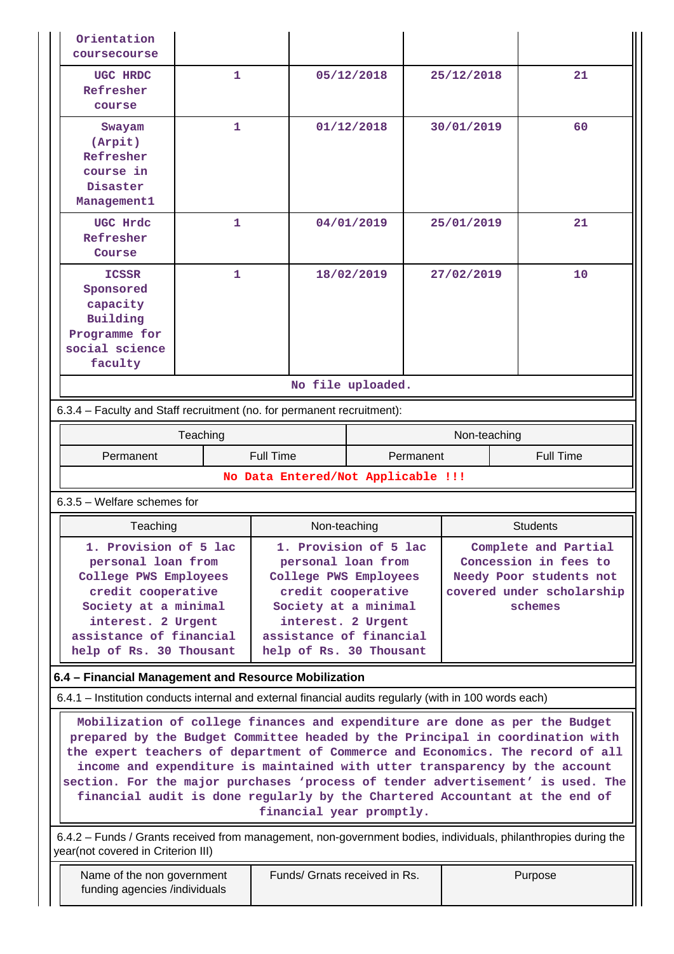| Orientation<br>coursecourse                                                                                                                                                                                                                                                                                                                                                                                                                                                                                                 |              |                                                                                                                                                                       |                       |              |                                                                                                                  |  |  |
|-----------------------------------------------------------------------------------------------------------------------------------------------------------------------------------------------------------------------------------------------------------------------------------------------------------------------------------------------------------------------------------------------------------------------------------------------------------------------------------------------------------------------------|--------------|-----------------------------------------------------------------------------------------------------------------------------------------------------------------------|-----------------------|--------------|------------------------------------------------------------------------------------------------------------------|--|--|
| UGC HRDC<br>Refresher<br>course                                                                                                                                                                                                                                                                                                                                                                                                                                                                                             | 1            | 05/12/2018<br>01/12/2018                                                                                                                                              |                       | 25/12/2018   | 21                                                                                                               |  |  |
| Swayam<br>(Arpit)<br>Refresher<br>course in<br>Disaster<br>Management1                                                                                                                                                                                                                                                                                                                                                                                                                                                      | 1            |                                                                                                                                                                       |                       | 30/01/2019   | 60                                                                                                               |  |  |
| UGC Hrdc<br>Refresher<br>Course                                                                                                                                                                                                                                                                                                                                                                                                                                                                                             | $\mathbf{1}$ |                                                                                                                                                                       | 04/01/2019            | 25/01/2019   | 21                                                                                                               |  |  |
| <b>ICSSR</b><br>Sponsored<br>capacity<br>Building<br>Programme for<br>social science<br>faculty                                                                                                                                                                                                                                                                                                                                                                                                                             | 1            |                                                                                                                                                                       | 18/02/2019            | 27/02/2019   | 10                                                                                                               |  |  |
|                                                                                                                                                                                                                                                                                                                                                                                                                                                                                                                             |              |                                                                                                                                                                       | No file uploaded.     |              |                                                                                                                  |  |  |
| 6.3.4 - Faculty and Staff recruitment (no. for permanent recruitment):                                                                                                                                                                                                                                                                                                                                                                                                                                                      |              |                                                                                                                                                                       |                       |              |                                                                                                                  |  |  |
|                                                                                                                                                                                                                                                                                                                                                                                                                                                                                                                             | Teaching     |                                                                                                                                                                       |                       | Non-teaching |                                                                                                                  |  |  |
| Permanent                                                                                                                                                                                                                                                                                                                                                                                                                                                                                                                   |              | <b>Full Time</b>                                                                                                                                                      | Permanent             |              | <b>Full Time</b>                                                                                                 |  |  |
|                                                                                                                                                                                                                                                                                                                                                                                                                                                                                                                             |              | No Data Entered/Not Applicable !!!                                                                                                                                    |                       |              |                                                                                                                  |  |  |
| 6.3.5 - Welfare schemes for                                                                                                                                                                                                                                                                                                                                                                                                                                                                                                 |              |                                                                                                                                                                       |                       |              |                                                                                                                  |  |  |
| Teaching                                                                                                                                                                                                                                                                                                                                                                                                                                                                                                                    |              | Non-teaching                                                                                                                                                          |                       |              | <b>Students</b>                                                                                                  |  |  |
| 1. Provision of 5 lac<br>personal loan from<br>College PWS Employees<br>credit cooperative<br>Society at a minimal<br>interest. 2 Urgent<br>assistance of financial<br>help of Rs. 30 Thousant                                                                                                                                                                                                                                                                                                                              |              | personal loan from<br>College PWS Employees<br>credit cooperative<br>Society at a minimal<br>interest. 2 Urgent<br>assistance of financial<br>help of Rs. 30 Thousant | 1. Provision of 5 lac |              | Complete and Partial<br>Concession in fees to<br>Needy Poor students not<br>covered under scholarship<br>schemes |  |  |
| 6.4 - Financial Management and Resource Mobilization                                                                                                                                                                                                                                                                                                                                                                                                                                                                        |              |                                                                                                                                                                       |                       |              |                                                                                                                  |  |  |
| 6.4.1 – Institution conducts internal and external financial audits regularly (with in 100 words each)                                                                                                                                                                                                                                                                                                                                                                                                                      |              |                                                                                                                                                                       |                       |              |                                                                                                                  |  |  |
| Mobilization of college finances and expenditure are done as per the Budget<br>prepared by the Budget Committee headed by the Principal in coordination with<br>the expert teachers of department of Commerce and Economics. The record of all<br>income and expenditure is maintained with utter transparency by the account<br>section. For the major purchases 'process of tender advertisement' is used. The<br>financial audit is done regularly by the Chartered Accountant at the end of<br>financial year promptly. |              |                                                                                                                                                                       |                       |              |                                                                                                                  |  |  |
| 6.4.2 – Funds / Grants received from management, non-government bodies, individuals, philanthropies during the<br>year(not covered in Criterion III)                                                                                                                                                                                                                                                                                                                                                                        |              |                                                                                                                                                                       |                       |              |                                                                                                                  |  |  |
| Name of the non government<br>funding agencies /individuals                                                                                                                                                                                                                                                                                                                                                                                                                                                                 |              | Funds/ Grnats received in Rs.                                                                                                                                         |                       |              | Purpose                                                                                                          |  |  |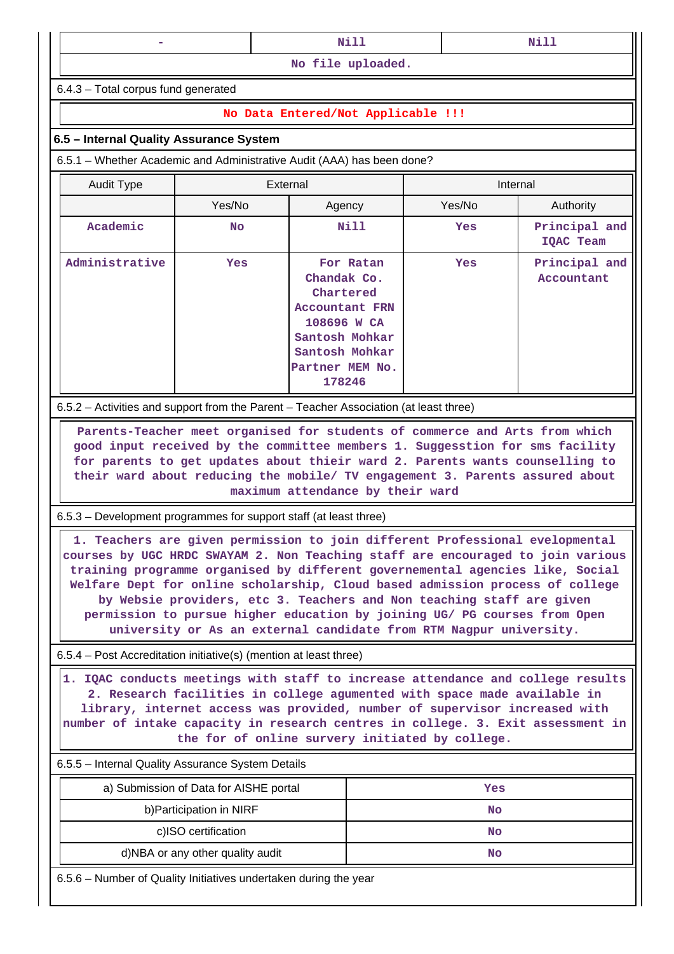| . . |  | N1 |  |  |  |
|-----|--|----|--|--|--|
|     |  |    |  |  |  |

6.4.3 – Total corpus fund generated

## **No Data Entered/Not Applicable !!!**

## **6.5 – Internal Quality Assurance System**

6.5.1 – Whether Academic and Administrative Audit (AAA) has been done?

| <b>Audit Type</b> | External   |                                                                                                                                                |        | Internal                    |  |  |
|-------------------|------------|------------------------------------------------------------------------------------------------------------------------------------------------|--------|-----------------------------|--|--|
|                   | Yes/No     | Agency                                                                                                                                         | Yes/No | Authority                   |  |  |
| Academic          | <b>No</b>  |                                                                                                                                                | Yes    | Principal and<br>IQAC Team  |  |  |
| Administrative    | <b>Yes</b> | For Ratan<br>Chandak Co.<br>Chartered<br><b>Accountant FRN</b><br>108696 W CA<br>Santosh Mohkar<br>Santosh Mohkar<br>Partner MEM No.<br>178246 | Yes    | Principal and<br>Accountant |  |  |

6.5.2 – Activities and support from the Parent – Teacher Association (at least three)

 **Parents-Teacher meet organised for students of commerce and Arts from which good input received by the committee members 1. Suggesstion for sms facility for parents to get updates about thieir ward 2. Parents wants counselling to their ward about reducing the mobile/ TV engagement 3. Parents assured about maximum attendance by their ward**

6.5.3 – Development programmes for support staff (at least three)

 **1. Teachers are given permission to join different Professional evelopmental courses by UGC HRDC SWAYAM 2. Non Teaching staff are encouraged to join various training programme organised by different governemental agencies like, Social Welfare Dept for online scholarship, Cloud based admission process of college by Websie providers, etc 3. Teachers and Non teaching staff are given permission to pursue higher education by joining UG/ PG courses from Open university or As an external candidate from RTM Nagpur university.**

6.5.4 – Post Accreditation initiative(s) (mention at least three)

 **1. IQAC conducts meetings with staff to increase attendance and college results 2. Research facilities in college agumented with space made available in library, internet access was provided, number of supervisor increased with number of intake capacity in research centres in college. 3. Exit assessment in the for of online survery initiated by college.**

6.5.5 – Internal Quality Assurance System Details

| a) Submission of Data for AISHE portal | Yes |
|----------------------------------------|-----|
| b) Participation in NIRF               | No  |
| c)ISO certification                    | No  |
| d)NBA or any other quality audit       | No  |

6.5.6 – Number of Quality Initiatives undertaken during the year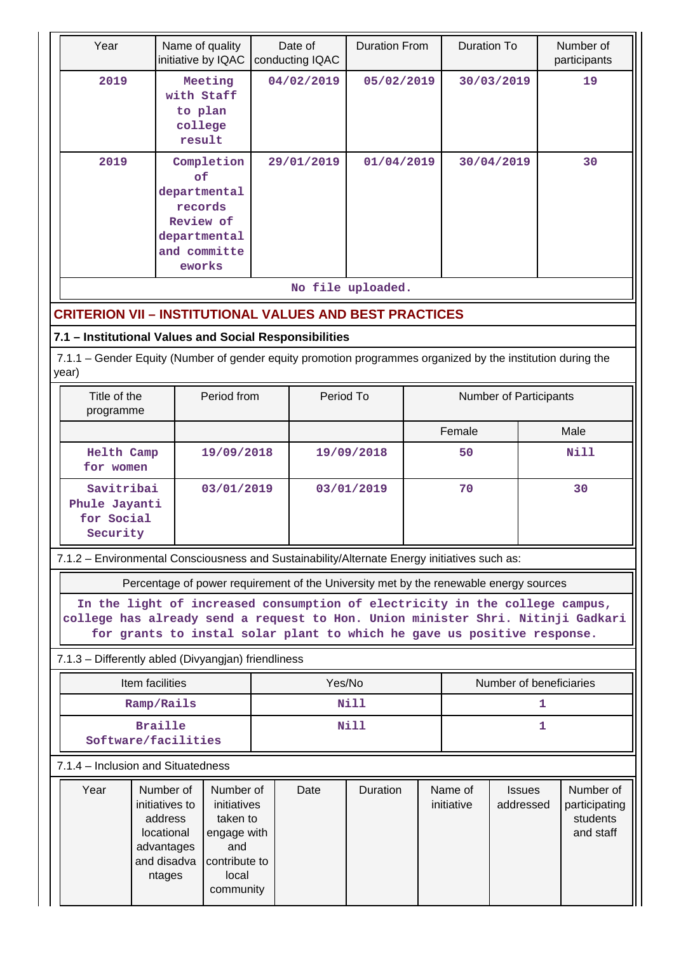|      | Name of quality<br>Year<br>initiative by IQAC                                                                                                                                                                                             |                                                                                      |             | Date of<br>conducting IQAC                                                            | <b>Duration From</b>     |                       | <b>Duration To</b>         |             | Number of<br>participants                           |      |  |
|------|-------------------------------------------------------------------------------------------------------------------------------------------------------------------------------------------------------------------------------------------|--------------------------------------------------------------------------------------|-------------|---------------------------------------------------------------------------------------|--------------------------|-----------------------|----------------------------|-------------|-----------------------------------------------------|------|--|
|      | 2019<br>Meeting<br>with Staff<br>to plan<br>college<br>result                                                                                                                                                                             |                                                                                      |             | 04/02/2019                                                                            | 05/02/2019<br>01/04/2019 |                       | 30/03/2019                 |             |                                                     | 19   |  |
| 2019 |                                                                                                                                                                                                                                           | of<br>departmental<br>records<br>Review of<br>departmental<br>and committe<br>eworks | Completion  | 29/01/2019                                                                            |                          |                       | 30/04/2019                 |             | 30                                                  |      |  |
|      |                                                                                                                                                                                                                                           |                                                                                      |             |                                                                                       | No file uploaded.        |                       |                            |             |                                                     |      |  |
|      | <b>CRITERION VII – INSTITUTIONAL VALUES AND BEST PRACTICES</b>                                                                                                                                                                            |                                                                                      |             |                                                                                       |                          |                       |                            |             |                                                     |      |  |
|      | 7.1 - Institutional Values and Social Responsibilities                                                                                                                                                                                    |                                                                                      |             |                                                                                       |                          |                       |                            |             |                                                     |      |  |
|      | 7.1.1 – Gender Equity (Number of gender equity promotion programmes organized by the institution during the<br>year)                                                                                                                      |                                                                                      |             |                                                                                       |                          |                       |                            |             |                                                     |      |  |
|      | Title of the<br>programme                                                                                                                                                                                                                 |                                                                                      | Period from | Period To                                                                             |                          |                       | Number of Participants     |             |                                                     |      |  |
|      |                                                                                                                                                                                                                                           |                                                                                      |             |                                                                                       |                          |                       | Female                     |             |                                                     | Male |  |
|      | Helth Camp<br>for women                                                                                                                                                                                                                   |                                                                                      | 19/09/2018  | 19/09/2018                                                                            |                          | 50                    |                            | <b>Nill</b> |                                                     |      |  |
|      | Savitribai<br>Phule Jayanti<br>for Social<br>Security                                                                                                                                                                                     |                                                                                      | 03/01/2019  | 03/01/2019                                                                            |                          |                       | 70                         |             | 30                                                  |      |  |
|      | 7.1.2 - Environmental Consciousness and Sustainability/Alternate Energy initiatives such as:                                                                                                                                              |                                                                                      |             |                                                                                       |                          |                       |                            |             |                                                     |      |  |
|      |                                                                                                                                                                                                                                           |                                                                                      |             | Percentage of power requirement of the University met by the renewable energy sources |                          |                       |                            |             |                                                     |      |  |
|      | In the light of increased consumption of electricity in the college campus,<br>college has already send a request to Hon. Union minister Shri. Nitinji Gadkari<br>for grants to instal solar plant to which he gave us positive response. |                                                                                      |             |                                                                                       |                          |                       |                            |             |                                                     |      |  |
|      | 7.1.3 - Differently abled (Divyangjan) friendliness                                                                                                                                                                                       |                                                                                      |             |                                                                                       |                          |                       |                            |             |                                                     |      |  |
|      |                                                                                                                                                                                                                                           | Item facilities                                                                      |             | Yes/No                                                                                |                          |                       | Number of beneficiaries    |             |                                                     |      |  |
|      |                                                                                                                                                                                                                                           | Ramp/Rails                                                                           |             |                                                                                       | Nill                     |                       | 1                          |             |                                                     |      |  |
|      | <b>Braille</b><br>Software/facilities                                                                                                                                                                                                     |                                                                                      |             |                                                                                       | <b>Nill</b>              |                       |                            |             | 1                                                   |      |  |
|      | 7.1.4 – Inclusion and Situatedness                                                                                                                                                                                                        |                                                                                      |             |                                                                                       |                          |                       |                            |             |                                                     |      |  |
|      | Year<br>Number of<br>Number of<br>initiatives to<br>initiatives<br>address<br>taken to<br>locational<br>engage with<br>advantages<br>and<br>and disadva<br>contribute to<br>local<br>ntages<br>community                                  |                                                                                      | Date        | <b>Duration</b>                                                                       |                          | Name of<br>initiative | <b>Issues</b><br>addressed |             | Number of<br>participating<br>students<br>and staff |      |  |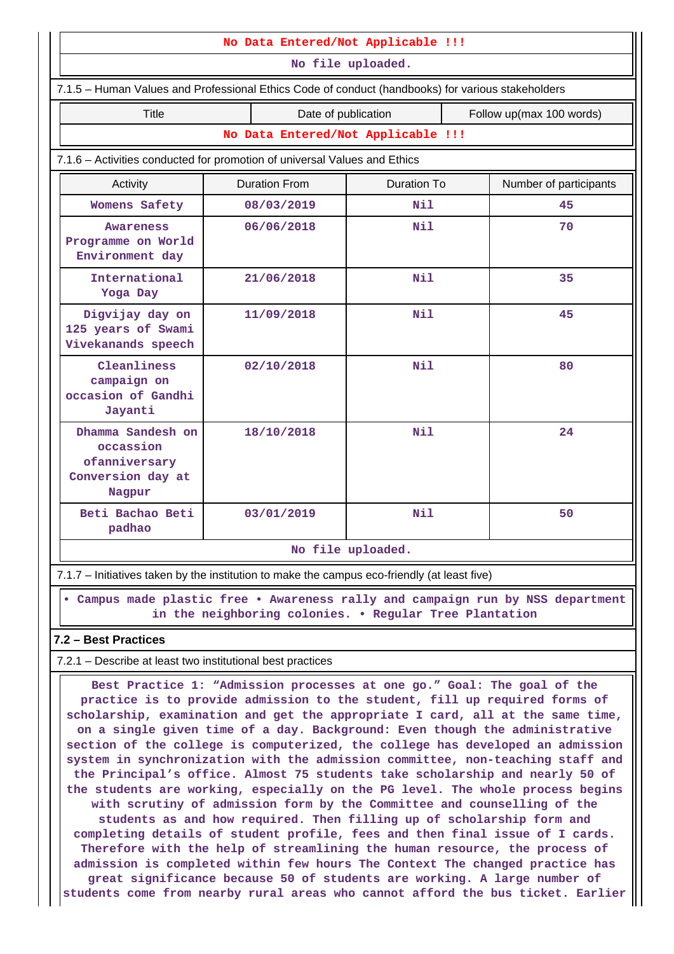| No Data Entered/Not Applicable !!!                                                                                                        |                      |                     |                    |                          |                        |
|-------------------------------------------------------------------------------------------------------------------------------------------|----------------------|---------------------|--------------------|--------------------------|------------------------|
| No file uploaded.                                                                                                                         |                      |                     |                    |                          |                        |
| 7.1.5 - Human Values and Professional Ethics Code of conduct (handbooks) for various stakeholders                                         |                      |                     |                    |                          |                        |
| Title                                                                                                                                     |                      | Date of publication |                    | Follow up(max 100 words) |                        |
| No Data Entered/Not Applicable !!!                                                                                                        |                      |                     |                    |                          |                        |
| 7.1.6 - Activities conducted for promotion of universal Values and Ethics                                                                 |                      |                     |                    |                          |                        |
| Activity                                                                                                                                  | <b>Duration From</b> |                     | <b>Duration To</b> |                          | Number of participants |
| Womens Safety                                                                                                                             | 08/03/2019           |                     | Nil                |                          | 45                     |
| Awareness<br>Programme on World<br>Environment day                                                                                        | 06/06/2018           |                     | Nil                |                          | 70                     |
| International<br>Yoga Day                                                                                                                 | 21/06/2018           |                     | Nil                |                          | 35                     |
| Digvijay day on<br>125 years of Swami<br>Vivekanands speech                                                                               | 11/09/2018           |                     | Nil                |                          | 45                     |
| Cleanliness<br>campaign on<br>occasion of Gandhi<br>Jayanti                                                                               | 02/10/2018           |                     | Nil                |                          | 80                     |
| Dhamma Sandesh on<br>occassion<br>ofanniversary<br>Conversion day at<br>Nagpur                                                            | 18/10/2018           |                     | Nil                |                          | 24                     |
| Beti Bachao Beti<br>padhao                                                                                                                | 03/01/2019           |                     | Nil                |                          | 50                     |
| No file uploaded.                                                                                                                         |                      |                     |                    |                          |                        |
| 7.1.7 - Initiatives taken by the institution to make the campus eco-friendly (at least five)                                              |                      |                     |                    |                          |                        |
| • Campus made plastic free • Awareness rally and campaign run by NSS department<br>in the neighboring colonies. . Regular Tree Plantation |                      |                     |                    |                          |                        |
| 7.2 - Best Practices                                                                                                                      |                      |                     |                    |                          |                        |
| 7.2.1 - Describe at least two institutional best practices                                                                                |                      |                     |                    |                          |                        |

 **Best Practice 1: "Admission processes at one go." Goal: The goal of the practice is to provide admission to the student, fill up required forms of scholarship, examination and get the appropriate I card, all at the same time, on a single given time of a day. Background: Even though the administrative section of the college is computerized, the college has developed an admission system in synchronization with the admission committee, non-teaching staff and the Principal's office. Almost 75 students take scholarship and nearly 50 of the students are working, especially on the PG level. The whole process begins with scrutiny of admission form by the Committee and counselling of the students as and how required. Then filling up of scholarship form and completing details of student profile, fees and then final issue of I cards. Therefore with the help of streamlining the human resource, the process of admission is completed within few hours The Context The changed practice has great significance because 50 of students are working. A large number of students come from nearby rural areas who cannot afford the bus ticket. Earlier**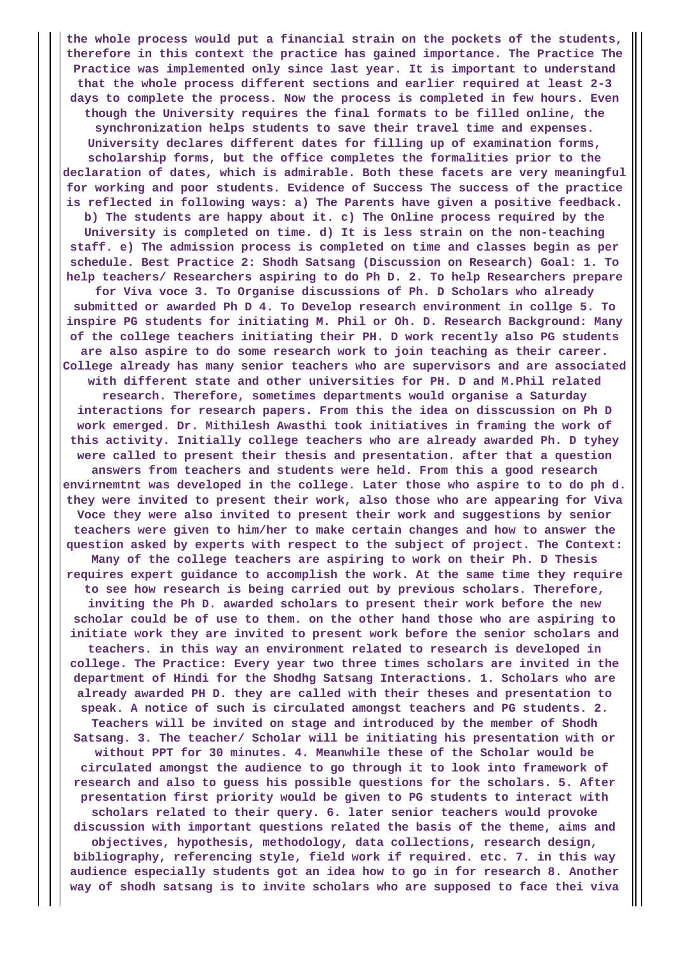**the whole process would put a financial strain on the pockets of the students, therefore in this context the practice has gained importance. The Practice The Practice was implemented only since last year. It is important to understand that the whole process different sections and earlier required at least 2-3 days to complete the process. Now the process is completed in few hours. Even though the University requires the final formats to be filled online, the synchronization helps students to save their travel time and expenses. University declares different dates for filling up of examination forms, scholarship forms, but the office completes the formalities prior to the declaration of dates, which is admirable. Both these facets are very meaningful for working and poor students. Evidence of Success The success of the practice is reflected in following ways: a) The Parents have given a positive feedback. b) The students are happy about it. c) The Online process required by the University is completed on time. d) It is less strain on the non-teaching staff. e) The admission process is completed on time and classes begin as per schedule. Best Practice 2: Shodh Satsang (Discussion on Research) Goal: 1. To help teachers/ Researchers aspiring to do Ph D. 2. To help Researchers prepare for Viva voce 3. To Organise discussions of Ph. D Scholars who already submitted or awarded Ph D 4. To Develop research environment in collge 5. To inspire PG students for initiating M. Phil or Oh. D. Research Background: Many of the college teachers initiating their PH. D work recently also PG students are also aspire to do some research work to join teaching as their career. College already has many senior teachers who are supervisors and are associated with different state and other universities for PH. D and M.Phil related research. Therefore, sometimes departments would organise a Saturday interactions for research papers. From this the idea on disscussion on Ph D work emerged. Dr. Mithilesh Awasthi took initiatives in framing the work of this activity. Initially college teachers who are already awarded Ph. D tyhey were called to present their thesis and presentation. after that a question answers from teachers and students were held. From this a good research envirnemtnt was developed in the college. Later those who aspire to to do ph d. they were invited to present their work, also those who are appearing for Viva Voce they were also invited to present their work and suggestions by senior teachers were given to him/her to make certain changes and how to answer the question asked by experts with respect to the subject of project. The Context: Many of the college teachers are aspiring to work on their Ph. D Thesis requires expert guidance to accomplish the work. At the same time they require to see how research is being carried out by previous scholars. Therefore, inviting the Ph D. awarded scholars to present their work before the new scholar could be of use to them. on the other hand those who are aspiring to initiate work they are invited to present work before the senior scholars and teachers. in this way an environment related to research is developed in college. The Practice: Every year two three times scholars are invited in the department of Hindi for the Shodhg Satsang Interactions. 1. Scholars who are already awarded PH D. they are called with their theses and presentation to speak. A notice of such is circulated amongst teachers and PG students. 2. Teachers will be invited on stage and introduced by the member of Shodh Satsang. 3. The teacher/ Scholar will be initiating his presentation with or without PPT for 30 minutes. 4. Meanwhile these of the Scholar would be circulated amongst the audience to go through it to look into framework of research and also to guess his possible questions for the scholars. 5. After presentation first priority would be given to PG students to interact with scholars related to their query. 6. later senior teachers would provoke discussion with important questions related the basis of the theme, aims and objectives, hypothesis, methodology, data collections, research design, bibliography, referencing style, field work if required. etc. 7. in this way audience especially students got an idea how to go in for research 8. Another way of shodh satsang is to invite scholars who are supposed to face thei viva**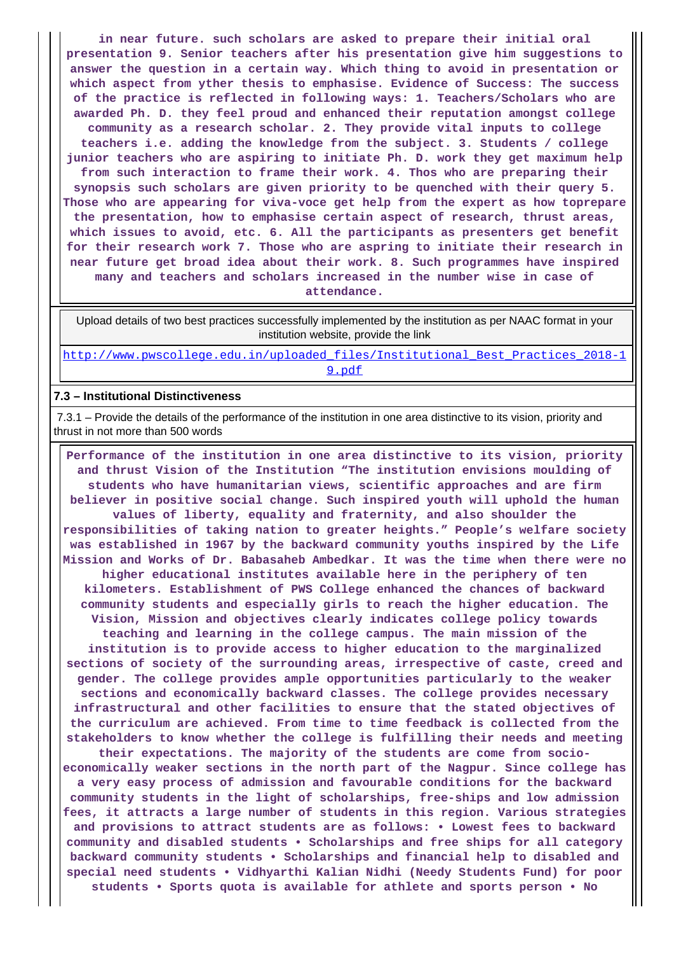**in near future. such scholars are asked to prepare their initial oral presentation 9. Senior teachers after his presentation give him suggestions to answer the question in a certain way. Which thing to avoid in presentation or which aspect from yther thesis to emphasise. Evidence of Success: The success of the practice is reflected in following ways: 1. Teachers/Scholars who are awarded Ph. D. they feel proud and enhanced their reputation amongst college community as a research scholar. 2. They provide vital inputs to college teachers i.e. adding the knowledge from the subject. 3. Students / college junior teachers who are aspiring to initiate Ph. D. work they get maximum help from such interaction to frame their work. 4. Thos who are preparing their synopsis such scholars are given priority to be quenched with their query 5. Those who are appearing for viva-voce get help from the expert as how toprepare the presentation, how to emphasise certain aspect of research, thrust areas, which issues to avoid, etc. 6. All the participants as presenters get benefit for their research work 7. Those who are aspring to initiate their research in near future get broad idea about their work. 8. Such programmes have inspired many and teachers and scholars increased in the number wise in case of**

**attendance.**

 Upload details of two best practices successfully implemented by the institution as per NAAC format in your institution website, provide the link

[http://www.pwscollege.edu.in/uploaded\\_files/Institutional\\_Best\\_Practices\\_2018-1](http://www.pwscollege.edu.in/uploaded_files/Institutional_Best_Practices_2018-19.pdf) [9.pdf](http://www.pwscollege.edu.in/uploaded_files/Institutional_Best_Practices_2018-19.pdf)

#### **7.3 – Institutional Distinctiveness**

 7.3.1 – Provide the details of the performance of the institution in one area distinctive to its vision, priority and thrust in not more than 500 words

 **Performance of the institution in one area distinctive to its vision, priority and thrust Vision of the Institution "The institution envisions moulding of students who have humanitarian views, scientific approaches and are firm believer in positive social change. Such inspired youth will uphold the human values of liberty, equality and fraternity, and also shoulder the responsibilities of taking nation to greater heights." People's welfare society was established in 1967 by the backward community youths inspired by the Life Mission and Works of Dr. Babasaheb Ambedkar. It was the time when there were no higher educational institutes available here in the periphery of ten kilometers. Establishment of PWS College enhanced the chances of backward community students and especially girls to reach the higher education. The Vision, Mission and objectives clearly indicates college policy towards teaching and learning in the college campus. The main mission of the institution is to provide access to higher education to the marginalized sections of society of the surrounding areas, irrespective of caste, creed and gender. The college provides ample opportunities particularly to the weaker sections and economically backward classes. The college provides necessary infrastructural and other facilities to ensure that the stated objectives of the curriculum are achieved. From time to time feedback is collected from the stakeholders to know whether the college is fulfilling their needs and meeting their expectations. The majority of the students are come from socioeconomically weaker sections in the north part of the Nagpur. Since college has a very easy process of admission and favourable conditions for the backward community students in the light of scholarships, free-ships and low admission fees, it attracts a large number of students in this region. Various strategies and provisions to attract students are as follows: • Lowest fees to backward community and disabled students • Scholarships and free ships for all category backward community students • Scholarships and financial help to disabled and special need students • Vidhyarthi Kalian Nidhi (Needy Students Fund) for poor students • Sports quota is available for athlete and sports person • No**